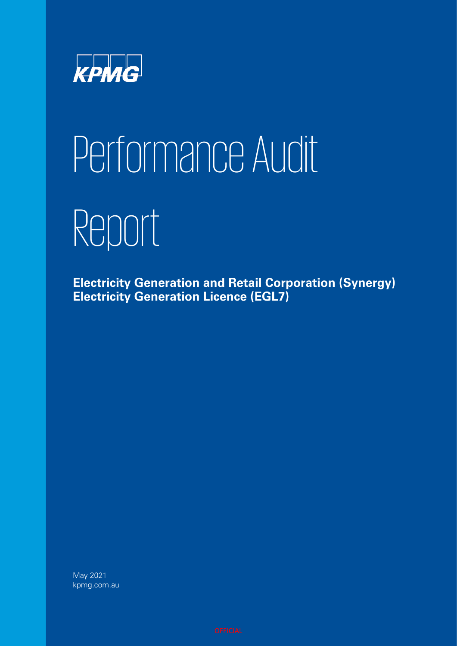

# Performance Audit Report

**Electricity Generation and Retail Corporation (Synergy) Electricity Generation Licence (EGL7)**

May 2021 kpmg.com.au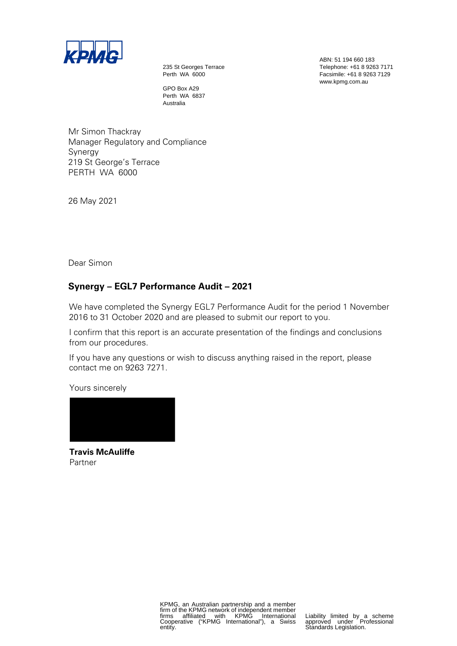

235 St Georges Terrace Perth WA 6000

GPO Box A29 Perth WA 6837 Australia

Mr Simon Thackray Manager Regulatory and Compliance Synergy 219 St George's Terrace PERTH WA 6000

26 May 2021

Dear Simon

#### **Synergy – EGL7 Performance Audit – 2021**

We have completed the Synergy EGL7 Performance Audit for the period 1 November 2016 to 31 October 2020 and are pleased to submit our report to you.

I confirm that this report is an accurate presentation of the findings and conclusions from our procedures.

If you have any questions or wish to discuss anything raised in the report, please contact me on 9263 7271.

Yours sincerely



**Travis McAuliffe** Partner

ABN: 51 194 660 183 Telephone: +61 8 9263 7171 Facsimile: +61 8 9263 7129 www.kpmg.com.au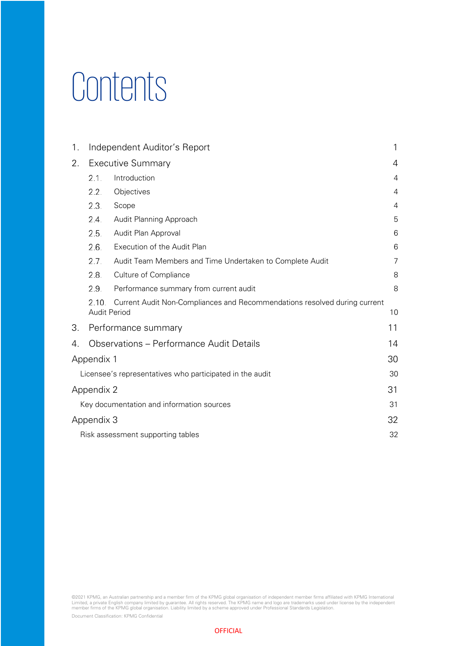### **Contents**

| 1. | Independent Auditor's Report                                     |                                                                                                  |                |  |  |
|----|------------------------------------------------------------------|--------------------------------------------------------------------------------------------------|----------------|--|--|
| 2. |                                                                  | <b>Executive Summary</b>                                                                         | 4              |  |  |
|    | 2.1.                                                             | Introduction                                                                                     | 4              |  |  |
|    | 2.2.                                                             | Objectives                                                                                       | $\overline{4}$ |  |  |
|    | 2.3.                                                             | Scope                                                                                            | 4              |  |  |
|    | 2.4.                                                             | Audit Planning Approach                                                                          | 5              |  |  |
|    | 2.5.                                                             | Audit Plan Approval                                                                              | 6              |  |  |
|    | 2.6.                                                             | Execution of the Audit Plan                                                                      | $6\phantom{1}$ |  |  |
|    | 2.7.<br>Audit Team Members and Time Undertaken to Complete Audit |                                                                                                  |                |  |  |
|    | 2.8.<br>Culture of Compliance                                    |                                                                                                  |                |  |  |
|    | 2.9.                                                             | Performance summary from current audit                                                           | 8              |  |  |
|    | 2.10.                                                            | Current Audit Non-Compliances and Recommendations resolved during current<br><b>Audit Period</b> | 10             |  |  |
| 3. |                                                                  | Performance summary                                                                              | 11             |  |  |
| 4. |                                                                  | Observations – Performance Audit Details                                                         | 14             |  |  |
|    | Appendix 1                                                       |                                                                                                  | 30             |  |  |
|    | Licensee's representatives who participated in the audit<br>30   |                                                                                                  |                |  |  |
|    | 31<br>Appendix 2                                                 |                                                                                                  |                |  |  |
|    | 31<br>Key documentation and information sources                  |                                                                                                  |                |  |  |
|    | 32<br>Appendix 3                                                 |                                                                                                  |                |  |  |
|    |                                                                  | Risk assessment supporting tables                                                                | 32             |  |  |

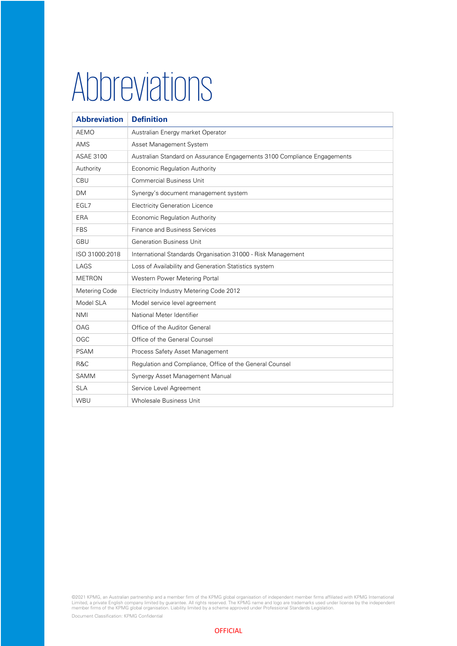### Abbreviations

| <b>Abbreviation</b> | <b>Definition</b>                                                        |
|---------------------|--------------------------------------------------------------------------|
| <b>AEMO</b>         | Australian Energy market Operator                                        |
| AMS                 | Asset Management System                                                  |
| <b>ASAE 3100</b>    | Australian Standard on Assurance Engagements 3100 Compliance Engagements |
| Authority           | Economic Regulation Authority                                            |
| CBU                 | <b>Commercial Business Unit</b>                                          |
| <b>DM</b>           | Synergy's document management system                                     |
| EGL7                | <b>Electricity Generation Licence</b>                                    |
| ERA                 | Economic Regulation Authority                                            |
| <b>FBS</b>          | <b>Finance and Business Services</b>                                     |
| GBU                 | <b>Generation Business Unit</b>                                          |
| ISO 31000:2018      | International Standards Organisation 31000 - Risk Management             |
| LAGS                | Loss of Availability and Generation Statistics system                    |
| <b>METRON</b>       | Western Power Metering Portal                                            |
| Metering Code       | Electricity Industry Metering Code 2012                                  |
| Model SLA           | Model service level agreement                                            |
| <b>NMI</b>          | National Meter Identifier                                                |
| OAG                 | Office of the Auditor General                                            |
| OGC                 | Office of the General Counsel                                            |
| <b>PSAM</b>         | Process Safety Asset Management                                          |
| R&C                 | Regulation and Compliance, Office of the General Counsel                 |
| <b>SAMM</b>         | Synergy Asset Management Manual                                          |
| <b>SLA</b>          | Service Level Agreement                                                  |
| WBU                 | Wholesale Business Unit                                                  |

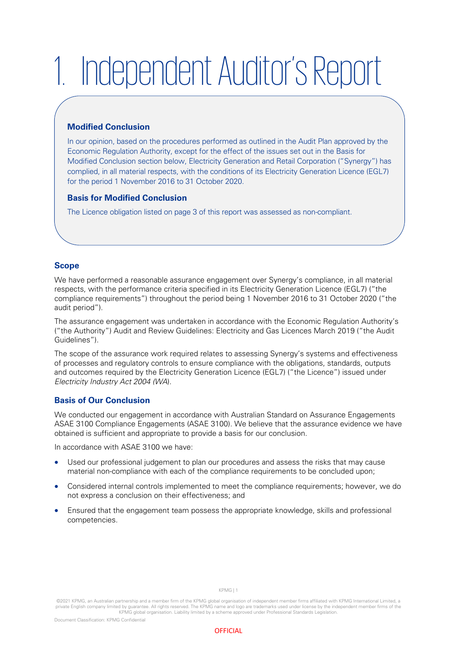## <span id="page-4-0"></span>1. Independent Auditor's Report

#### **Modified Conclusion**

In our opinion, based on the procedures performed as outlined in the Audit Plan approved by the Economic Regulation Authority, except for the effect of the issues set out in the Basis for Modified Conclusion section below, Electricity Generation and Retail Corporation ("Synergy") has complied, in all material respects, with the conditions of its Electricity Generation Licence (EGL7) for the period 1 November 2016 to 31 October 2020.

#### **Basis for Modified Conclusion**

The Licence obligation listed on page 3 of this report was assessed as non-compliant.

#### **Scope**

We have performed a reasonable assurance engagement over Synergy's compliance, in all material respects, with the performance criteria specified in its Electricity Generation Licence (EGL7) ("the compliance requirements") throughout the period being 1 November 2016 to 31 October 2020 ("the audit period").

The assurance engagement was undertaken in accordance with the Economic Regulation Authority's ("the Authority") Audit and Review Guidelines: Electricity and Gas Licences March 2019 ("the Audit Guidelines").

The scope of the assurance work required relates to assessing Synergy's systems and effectiveness of processes and regulatory controls to ensure compliance with the obligations, standards, outputs and outcomes required by the Electricity Generation Licence (EGL7) ("the Licence") issued under Electricity Industry Act 2004 (WA).

#### **Basis of Our Conclusion**

We conducted our engagement in accordance with Australian Standard on Assurance Engagements ASAE 3100 Compliance Engagements (ASAE 3100). We believe that the assurance evidence we have obtained is sufficient and appropriate to provide a basis for our conclusion.

In accordance with ASAE 3100 we have:

- Used our professional judgement to plan our procedures and assess the risks that may cause material non-compliance with each of the compliance requirements to be concluded upon;
- Considered internal controls implemented to meet the compliance requirements; however, we do not express a conclusion on their effectiveness; and
- Ensured that the engagement team possess the appropriate knowledge, skills and professional competencies.

KPMG | 1



<sup>©2021</sup> KPMG, an Australian partnership and a member firm of the KPMG global organisation of independent member firms affiliated with KPMG International Limited, a private English company limited by guarantee. All rights reserved. The KPMG name and logo are trademarks used under license by the independent member firms of the<br>KPMG global organisation. Liability limited by a scheme app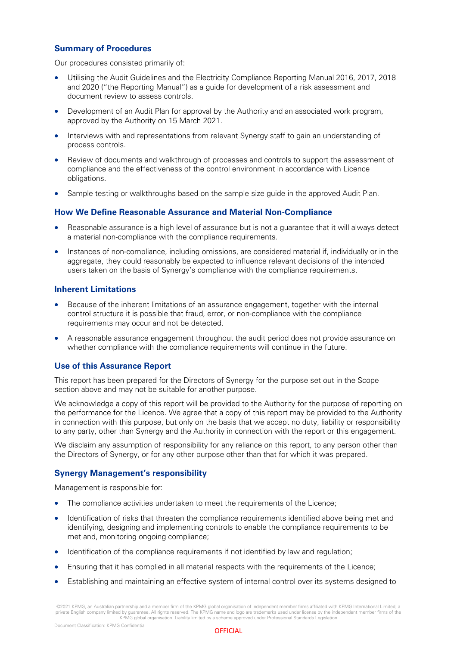#### **Summary of Procedures**

Our procedures consisted primarily of:

- Utilising the Audit Guidelines and the Electricity Compliance Reporting Manual 2016, 2017, 2018 and 2020 ("the Reporting Manual") as a guide for development of a risk assessment and document review to assess controls.
- Development of an Audit Plan for approval by the Authority and an associated work program, approved by the Authority on 15 March 2021.
- Interviews with and representations from relevant Synergy staff to gain an understanding of process controls.
- Review of documents and walkthrough of processes and controls to support the assessment of compliance and the effectiveness of the control environment in accordance with Licence obligations.
- Sample testing or walkthroughs based on the sample size guide in the approved Audit Plan.

#### **How We Define Reasonable Assurance and Material Non-Compliance**

- Reasonable assurance is a high level of assurance but is not a guarantee that it will always detect a material non-compliance with the compliance requirements.
- Instances of non-compliance, including omissions, are considered material if, individually or in the aggregate, they could reasonably be expected to influence relevant decisions of the intended users taken on the basis of Synergy's compliance with the compliance requirements.

#### **Inherent Limitations**

- Because of the inherent limitations of an assurance engagement, together with the internal control structure it is possible that fraud, error, or non-compliance with the compliance requirements may occur and not be detected.
- A reasonable assurance engagement throughout the audit period does not provide assurance on whether compliance with the compliance requirements will continue in the future.

#### **Use of this Assurance Report**

This report has been prepared for the Directors of Synergy for the purpose set out in the Scope section above and may not be suitable for another purpose.

We acknowledge a copy of this report will be provided to the Authority for the purpose of reporting on the performance for the Licence. We agree that a copy of this report may be provided to the Authority in connection with this purpose, but only on the basis that we accept no duty, liability or responsibility to any party, other than Synergy and the Authority in connection with the report or this engagement.

We disclaim any assumption of responsibility for any reliance on this report, to any person other than the Directors of Synergy, or for any other purpose other than that for which it was prepared.

#### **Synergy Management's responsibility**

Management is responsible for:

- The compliance activities undertaken to meet the requirements of the Licence;
- Identification of risks that threaten the compliance requirements identified above being met and identifying, designing and implementing controls to enable the compliance requirements to be met and, monitoring ongoing compliance;
- Identification of the compliance requirements if not identified by law and regulation;
- Ensuring that it has complied in all material respects with the requirements of the Licence;
- Establishing and maintaining an effective system of internal control over its systems designed to

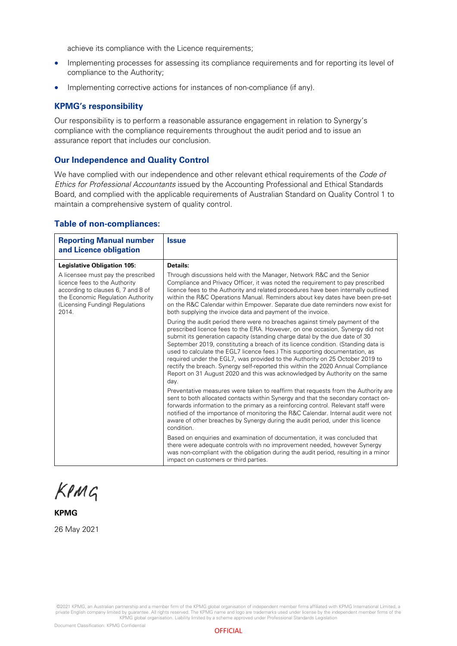achieve its compliance with the Licence requirements;

- Implementing processes for assessing its compliance requirements and for reporting its level of compliance to the Authority;
- Implementing corrective actions for instances of non-compliance (if any).

#### **KPMG's responsibility**

Our responsibility is to perform a reasonable assurance engagement in relation to Synergy's compliance with the compliance requirements throughout the audit period and to issue an assurance report that includes our conclusion.

#### **Our Independence and Quality Control**

We have complied with our independence and other relevant ethical requirements of the Code of Ethics for Professional Accountants issued by the Accounting Professional and Ethical Standards Board, and complied with the applicable requirements of Australian Standard on Quality Control 1 to maintain a comprehensive system of quality control.

#### **Table of non-compliances:**

| <b>Reporting Manual number</b><br>and Licence obligation                                                                                                                                   | <b>Issue</b>                                                                                                                                                                                                                                                                                                                                                                                                                                                                                                                                                                                                                                                                |
|--------------------------------------------------------------------------------------------------------------------------------------------------------------------------------------------|-----------------------------------------------------------------------------------------------------------------------------------------------------------------------------------------------------------------------------------------------------------------------------------------------------------------------------------------------------------------------------------------------------------------------------------------------------------------------------------------------------------------------------------------------------------------------------------------------------------------------------------------------------------------------------|
| <b>Legislative Obligation 105:</b>                                                                                                                                                         | Details:                                                                                                                                                                                                                                                                                                                                                                                                                                                                                                                                                                                                                                                                    |
| A licensee must pay the prescribed<br>licence fees to the Authority<br>according to clauses 6, 7 and 8 of<br>the Economic Regulation Authority<br>(Licensing Funding) Regulations<br>2014. | Through discussions held with the Manager, Network R&C and the Senior<br>Compliance and Privacy Officer, it was noted the requirement to pay prescribed<br>licence fees to the Authority and related procedures have been internally outlined<br>within the R&C Operations Manual. Reminders about key dates have been pre-set<br>on the R&C Calendar within Empower. Separate due date reminders now exist for<br>both supplying the invoice data and payment of the invoice.                                                                                                                                                                                              |
|                                                                                                                                                                                            | During the audit period there were no breaches against timely payment of the<br>prescribed licence fees to the ERA. However, on one occasion, Synergy did not<br>submit its generation capacity (standing charge data) by the due date of 30<br>September 2019, constituting a breach of its licence condition. (Standing data is<br>used to calculate the EGL7 licence fees.) This supporting documentation, as<br>required under the EGL7, was provided to the Authority on 25 October 2019 to<br>rectify the breach. Synergy self-reported this within the 2020 Annual Compliance<br>Report on 31 August 2020 and this was acknowledged by Authority on the same<br>day. |
|                                                                                                                                                                                            | Preventative measures were taken to reaffirm that requests from the Authority are<br>sent to both allocated contacts within Synergy and that the secondary contact on-<br>forwards information to the primary as a reinforcing control. Relevant staff were<br>notified of the importance of monitoring the R&C Calendar. Internal audit were not<br>aware of other breaches by Synergy during the audit period, under this licence<br>condition.                                                                                                                                                                                                                           |
|                                                                                                                                                                                            | Based on enquiries and examination of documentation, it was concluded that<br>there were adequate controls with no improvement needed, however Synergy<br>was non-compliant with the obligation during the audit period, resulting in a minor<br>impact on customers or third parties.                                                                                                                                                                                                                                                                                                                                                                                      |

KPMG

#### **KPMG**

26 May 2021

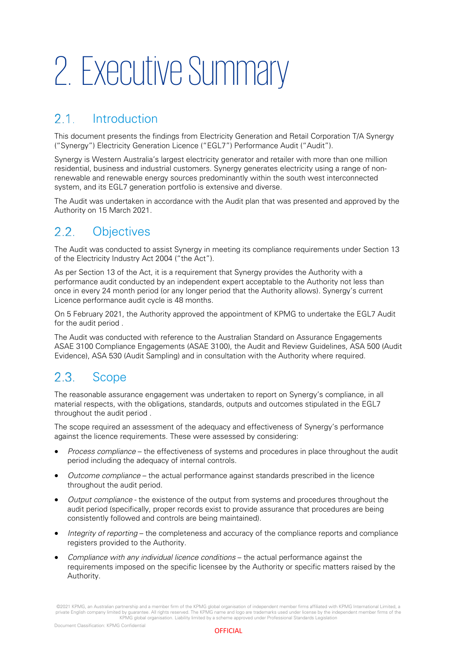### <span id="page-7-0"></span>2. Executive Summary

#### <span id="page-7-1"></span> $21$ Introduction

This document presents the findings from Electricity Generation and Retail Corporation T/A Synergy ("Synergy") Electricity Generation Licence ("EGL7") Performance Audit ("Audit").

Synergy is Western Australia's largest electricity generator and retailer with more than one million residential, business and industrial customers. Synergy generates electricity using a range of nonrenewable and renewable energy sources predominantly within the south west interconnected system, and its EGL7 generation portfolio is extensive and diverse.

The Audit was undertaken in accordance with the Audit plan that was presented and approved by the Authority on 15 March 2021.

#### <span id="page-7-2"></span> $2.2<sub>1</sub>$ **Objectives**

The Audit was conducted to assist Synergy in meeting its compliance requirements under Section 13 of the Electricity Industry Act 2004 ("the Act").

As per Section 13 of the Act, it is a requirement that Synergy provides the Authority with a performance audit conducted by an independent expert acceptable to the Authority not less than once in every 24 month period (or any longer period that the Authority allows). Synergy's current Licence performance audit cycle is 48 months.

On 5 February 2021, the Authority approved the appointment of KPMG to undertake the EGL7 Audit for the audit period .

The Audit was conducted with reference to the Australian Standard on Assurance Engagements ASAE 3100 Compliance Engagements (ASAE 3100), the Audit and Review Guidelines, ASA 500 (Audit Evidence), ASA 530 (Audit Sampling) and in consultation with the Authority where required.

#### <span id="page-7-3"></span> $2.3.$ Scope

The reasonable assurance engagement was undertaken to report on Synergy's compliance, in all material respects, with the obligations, standards, outputs and outcomes stipulated in the EGL7 throughout the audit period .

The scope required an assessment of the adequacy and effectiveness of Synergy's performance against the licence requirements. These were assessed by considering:

- Process compliance the effectiveness of systems and procedures in place throughout the audit period including the adequacy of internal controls.
- Outcome compliance the actual performance against standards prescribed in the licence throughout the audit period.
- Output compliance the existence of the output from systems and procedures throughout the audit period (specifically, proper records exist to provide assurance that procedures are being consistently followed and controls are being maintained).
- Integrity of reporting the completeness and accuracy of the compliance reports and compliance registers provided to the Authority.
- Compliance with any individual licence conditions the actual performance against the requirements imposed on the specific licensee by the Authority or specific matters raised by the Authority.

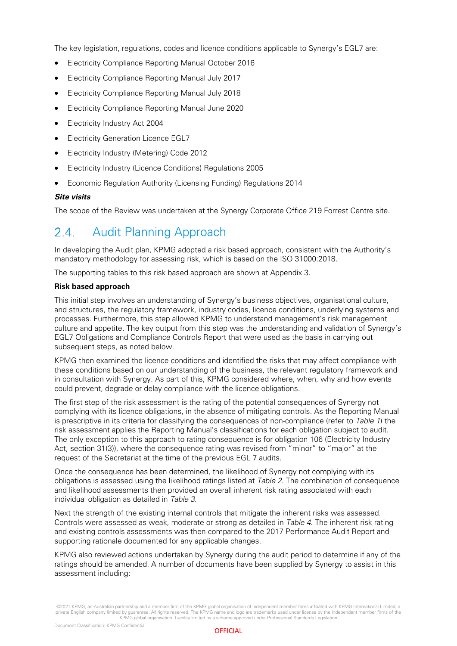The key legislation, regulations, codes and licence conditions applicable to Synergy's EGL7 are:

- Electricity Compliance Reporting Manual October 2016
- Electricity Compliance Reporting Manual July 2017
- Electricity Compliance Reporting Manual July 2018
- Electricity Compliance Reporting Manual June 2020
- Electricity Industry Act 2004
- Electricity Generation Licence EGL7
- Electricity Industry (Metering) Code 2012
- Electricity Industry (Licence Conditions) Regulations 2005
- Economic Regulation Authority (Licensing Funding) Regulations 2014

#### **Site visits**

The scope of the Review was undertaken at the Synergy Corporate Office 219 Forrest Centre site.

#### <span id="page-8-0"></span>Audit Planning Approach  $24$

In developing the Audit plan, KPMG adopted a risk based approach, consistent with the Authority's mandatory methodology for assessing risk, which is based on the ISO 31000:2018.

The supporting tables to this risk based approach are shown at Appendix 3.

#### **Risk based approach**

This initial step involves an understanding of Synergy's business objectives, organisational culture, and structures, the regulatory framework, industry codes, licence conditions, underlying systems and processes. Furthermore, this step allowed KPMG to understand management's risk management culture and appetite. The key output from this step was the understanding and validation of Synergy's EGL7 Obligations and Compliance Controls Report that were used as the basis in carrying out subsequent steps, as noted below.

KPMG then examined the licence conditions and identified the risks that may affect compliance with these conditions based on our understanding of the business, the relevant regulatory framework and in consultation with Synergy. As part of this, KPMG considered where, when, why and how events could prevent, degrade or delay compliance with the licence obligations.

The first step of the risk assessment is the rating of the potential consequences of Synergy not complying with its licence obligations, in the absence of mitigating controls. As the Reporting Manual is prescriptive in its criteria for classifying the consequences of non-compliance (refer to Table 1) the risk assessment applies the Reporting Manual's classifications for each obligation subject to audit. The only exception to this approach to rating consequence is for obligation 106 (Electricity Industry Act, section 31(3)), where the consequence rating was revised from "minor" to "major" at the request of the Secretariat at the time of the previous EGL 7 audits.

Once the consequence has been determined, the likelihood of Synergy not complying with its obligations is assessed using the likelihood ratings listed at Table 2. The combination of consequence and likelihood assessments then provided an overall inherent risk rating associated with each individual obligation as detailed in Table 3.

Next the strength of the existing internal controls that mitigate the inherent risks was assessed. Controls were assessed as weak, moderate or strong as detailed in Table 4. The inherent risk rating and existing controls assessments was then compared to the 2017 Performance Audit Report and supporting rationale documented for any applicable changes.

KPMG also reviewed actions undertaken by Synergy during the audit period to determine if any of the ratings should be amended. A number of documents have been supplied by Synergy to assist in this assessment including:



<sup>©2021</sup> KPMG, an Australian partnership and a member firm of the KPMG global organisation of independent member firms affiliated with KPMG International Limited, a<br>private English company limited by guarantee. All rights res KPMG global organisation. Liability limited by a scheme approved under Professional Standards Legislation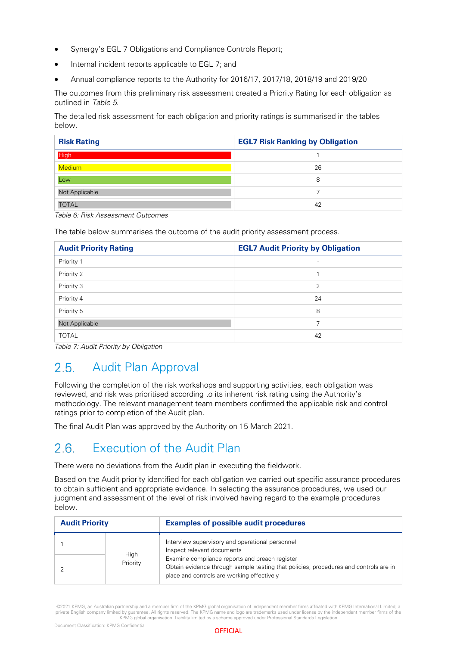- Synergy's EGL 7 Obligations and Compliance Controls Report:
- Internal incident reports applicable to EGL 7; and
- Annual compliance reports to the Authority for 2016/17, 2017/18, 2018/19 and 2019/20

The outcomes from this preliminary risk assessment created a Priority Rating for each obligation as outlined in Table 5.

The detailed risk assessment for each obligation and priority ratings is summarised in the tables below.

| <b>Risk Rating</b> | <b>EGL7 Risk Ranking by Obligation</b> |
|--------------------|----------------------------------------|
| <b>High</b>        |                                        |
| <b>Medium</b>      | 26                                     |
| Low                | 8                                      |
| Not Applicable     |                                        |
| <b>TOTAL</b>       | 42                                     |

Table 6: Risk Assessment Outcomes

The table below summarises the outcome of the audit priority assessment process.

| <b>Audit Priority Rating</b> | <b>EGL7 Audit Priority by Obligation</b> |
|------------------------------|------------------------------------------|
| Priority 1                   | $\overline{\phantom{0}}$                 |
| Priority 2                   |                                          |
| Priority 3                   | $\overline{2}$                           |
| Priority 4                   | 24                                       |
| Priority 5                   | 8                                        |
| Not Applicable               | ⇁                                        |
| <b>TOTAL</b>                 | 42                                       |

Table 7: Audit Priority by Obligation

#### <span id="page-9-0"></span> $2.5.$ Audit Plan Approval

Following the completion of the risk workshops and supporting activities, each obligation was reviewed, and risk was prioritised according to its inherent risk rating using the Authority's methodology. The relevant management team members confirmed the applicable risk and control ratings prior to completion of the Audit plan.

The final Audit Plan was approved by the Authority on 15 March 2021.

#### <span id="page-9-1"></span>Execution of the Audit Plan  $2.6$

There were no deviations from the Audit plan in executing the fieldwork.

Based on the Audit priority identified for each obligation we carried out specific assurance procedures to obtain sufficient and appropriate evidence. In selecting the assurance procedures, we used our judgment and assessment of the level of risk involved having regard to the example procedures below.

| <b>Audit Priority</b> |                  | <b>Examples of possible audit procedures</b>                                                                                                                                         |  |  |
|-----------------------|------------------|--------------------------------------------------------------------------------------------------------------------------------------------------------------------------------------|--|--|
|                       |                  | Interview supervisory and operational personnel<br>Inspect relevant documents                                                                                                        |  |  |
|                       | High<br>Priority | Examine compliance reports and breach register<br>Obtain evidence through sample testing that policies, procedures and controls are in<br>place and controls are working effectively |  |  |

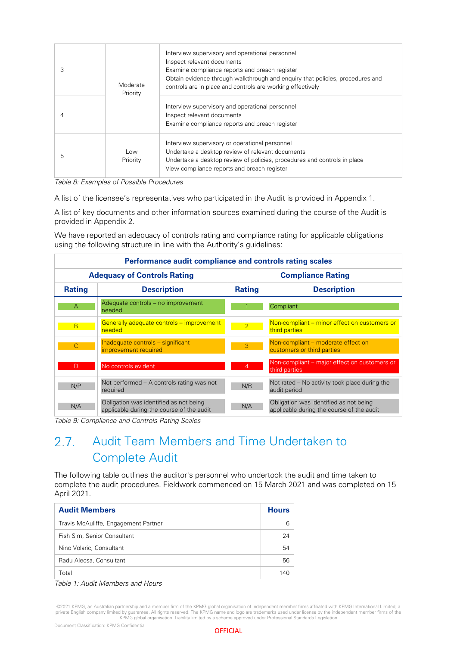| 3 | Moderate<br>Priority | Interview supervisory and operational personnel<br>Inspect relevant documents<br>Examine compliance reports and breach register<br>Obtain evidence through walkthrough and enguiry that policies, procedures and<br>controls are in place and controls are working effectively |
|---|----------------------|--------------------------------------------------------------------------------------------------------------------------------------------------------------------------------------------------------------------------------------------------------------------------------|
|   |                      | Interview supervisory and operational personnel<br>Inspect relevant documents<br>Examine compliance reports and breach register                                                                                                                                                |
| 5 | Low<br>Priority      | Interview supervisory or operational personnel<br>Undertake a desktop review of relevant documents<br>Undertake a desktop review of policies, procedures and controls in place<br>View compliance reports and breach register                                                  |

Table 8: Examples of Possible Procedures

A list of the licensee's representatives who participated in the Audit is provided in Appendix 1.

A list of key documents and other information sources examined during the course of the Audit is provided in Appendix 2.

We have reported an adequacy of controls rating and compliance rating for applicable obligations using the following structure in line with the Authority's guidelines:

| Performance audit compliance and controls rating scales                   |                                                                                     |                |                                                                                     |  |  |  |  |
|---------------------------------------------------------------------------|-------------------------------------------------------------------------------------|----------------|-------------------------------------------------------------------------------------|--|--|--|--|
| <b>Adequacy of Controls Rating</b><br><b>Compliance Rating</b>            |                                                                                     |                |                                                                                     |  |  |  |  |
| <b>Rating</b>                                                             | <b>Description</b>                                                                  | <b>Rating</b>  | <b>Description</b>                                                                  |  |  |  |  |
| $\overline{A}$                                                            | Adequate controls - no improvement<br>needed                                        |                | Compliant                                                                           |  |  |  |  |
| B                                                                         | Generally adequate controls – improvement<br>needed                                 | $\overline{2}$ | Non-compliant – minor effect on customers or<br>third parties                       |  |  |  |  |
| Inadequate controls - significant<br>$\mathsf{C}$<br>improvement required |                                                                                     | 3              | Non-compliant - moderate effect on<br>customers or third parties                    |  |  |  |  |
| D                                                                         | No controls evident                                                                 | $\overline{4}$ | Non-compliant – major effect on customers or<br>third parties                       |  |  |  |  |
| N/P                                                                       | Not performed – A controls rating was not<br>required                               | N/R            | Not rated – No activity took place during the<br>audit period                       |  |  |  |  |
| N/A                                                                       | Obligation was identified as not being<br>applicable during the course of the audit | N/A            | Obligation was identified as not being<br>applicable during the course of the audit |  |  |  |  |

Table 9: Compliance and Controls Rating Scales

#### <span id="page-10-0"></span> $27$ Audit Team Members and Time Undertaken to Complete Audit

The following table outlines the auditor's personnel who undertook the audit and time taken to complete the audit procedures. Fieldwork commenced on 15 March 2021 and was completed on 15 April 2021.

| <b>Audit Members</b>                 |     |  |
|--------------------------------------|-----|--|
| Travis McAuliffe, Engagement Partner | 6   |  |
| Fish Sim, Senior Consultant          | 24  |  |
| Nino Volaric, Consultant             | 54  |  |
| Radu Alecsa, Consultant              | 56  |  |
| Total                                | 140 |  |

Table 1: Audit Members and Hours

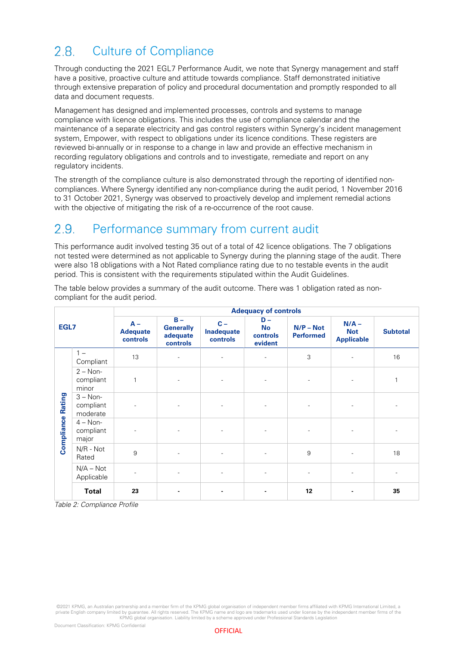#### <span id="page-11-0"></span> $2.8.$ Culture of Compliance

Through conducting the 2021 EGL7 Performance Audit, we note that Synergy management and staff have a positive, proactive culture and attitude towards compliance. Staff demonstrated initiative through extensive preparation of policy and procedural documentation and promptly responded to all data and document requests.

Management has designed and implemented processes, controls and systems to manage compliance with licence obligations. This includes the use of compliance calendar and the maintenance of a separate electricity and gas control registers within Synergy's incident management system, Empower, with respect to obligations under its licence conditions. These registers are reviewed bi-annually or in response to a change in law and provide an effective mechanism in recording regulatory obligations and controls and to investigate, remediate and report on any regulatory incidents.

The strength of the compliance culture is also demonstrated through the reporting of identified noncompliances. Where Synergy identified any non-compliance during the audit period, 1 November 2016 to 31 October 2021, Synergy was observed to proactively develop and implement remedial actions with the objective of mitigating the risk of a re-occurrence of the root cause.

#### <span id="page-11-1"></span>Performance summary from current audit  $2.9.$

This performance audit involved testing 35 out of a total of 42 licence obligations. The 7 obligations not tested were determined as not applicable to Synergy during the planning stage of the audit. There were also 18 obligations with a Not Rated compliance rating due to no testable events in the audit period. This is consistent with the requirements stipulated within the Audit Guidelines.

| EGL7                 |                                     | <b>Adequacy of controls</b>          |                                                   |                                 |                                           |                                 |                                            |                 |
|----------------------|-------------------------------------|--------------------------------------|---------------------------------------------------|---------------------------------|-------------------------------------------|---------------------------------|--------------------------------------------|-----------------|
|                      |                                     | $A -$<br><b>Adequate</b><br>controls | $B -$<br><b>Generally</b><br>adequate<br>controls | $C -$<br>Inadequate<br>controls | $D -$<br><b>No</b><br>controls<br>evident | $N/P - Not$<br><b>Performed</b> | $N/A -$<br><b>Not</b><br><b>Applicable</b> | <b>Subtotal</b> |
|                      | $1 -$<br>Compliant                  | 13                                   | $\overline{\phantom{a}}$                          | $\overline{\phantom{a}}$        | $\overline{\phantom{a}}$                  | 3                               |                                            | 16              |
| Rating<br>Compliance | $2 - Non-$<br>compliant<br>minor    | $\mathbf{1}$                         |                                                   | $\overline{\phantom{a}}$        |                                           |                                 |                                            | 1               |
|                      | $3 - Non-$<br>compliant<br>moderate | $\overline{a}$                       | $\overline{\phantom{a}}$                          | $\overline{\phantom{a}}$        |                                           | $\overline{a}$                  |                                            |                 |
|                      | $4 - Non-$<br>compliant<br>major    | $\overline{\phantom{0}}$             | $\overline{\phantom{a}}$                          | $\overline{\phantom{a}}$        |                                           | $\overline{a}$                  |                                            |                 |
|                      | N/R - Not<br>Rated                  | 9                                    | $\overline{a}$                                    | $\overline{\phantom{a}}$        |                                           | $\boldsymbol{9}$                |                                            | 18              |
|                      | $N/A - Not$<br>Applicable           |                                      |                                                   | $\overline{\phantom{a}}$        |                                           |                                 |                                            |                 |
|                      | <b>Total</b>                        | 23                                   |                                                   | ٠                               |                                           | 12                              |                                            | 35              |

The table below provides a summary of the audit outcome. There was 1 obligation rated as noncompliant for the audit period.

Table 2: Compliance Profile

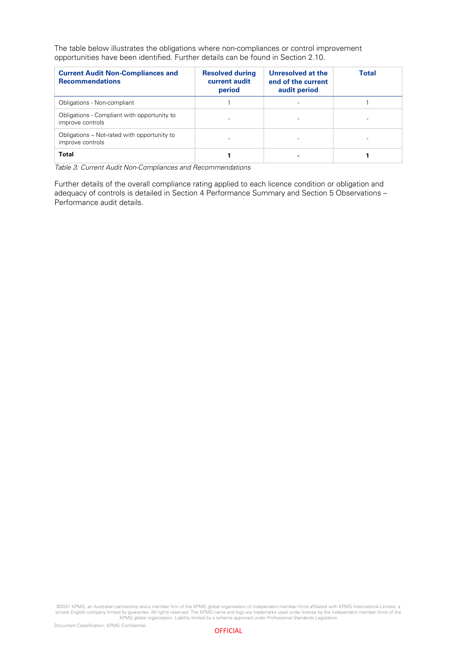The table below illustrates the obligations where non-compliances or control improvement opportunities have been identified. Further details can be found in Section 2.10.

| <b>Current Audit Non-Compliances and</b><br><b>Recommendations</b> | <b>Resolved during</b><br>current audit<br>period | Unresolved at the<br>end of the current<br>audit period | <b>Total</b> |
|--------------------------------------------------------------------|---------------------------------------------------|---------------------------------------------------------|--------------|
| Obligations - Non-compliant                                        |                                                   |                                                         |              |
| Obligations - Compliant with opportunity to<br>improve controls    |                                                   |                                                         |              |
| Obligations – Not-rated with opportunity to<br>improve controls    |                                                   |                                                         |              |
| Total                                                              |                                                   |                                                         |              |

Table 3: Current Audit Non-Compliances and Recommendations

Further details of the overall compliance rating applied to each licence condition or obligation and adequacy of controls is detailed in Section 4 Performance Summary and Section 5 Observations – Performance audit details.

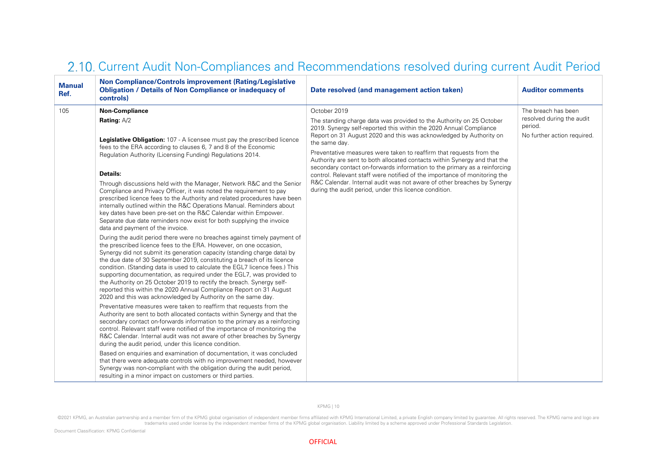<span id="page-13-0"></span>

| <b>Manual</b><br>Ref. | Non Compliance/Controls improvement (Rating/Legislative<br><b>Obligation / Details of Non Compliance or inadequacy of</b><br>controls)                                                                                                                                                                                                                                                                                                                                                                                                                                                                                                                                                                                                                                                                                                                                                                                                                                                                                                                                                                                                                                                                                                                                                                                                                                                                                                                                                                                                                                                                                                                                                                                                                                                                                                                                                                                                         | Date resolved (and management action taken)                                                                                                                                                                                                                                                                                                                                                                                                                                                                                                                                                                                                                                          | <b>Auditor comments</b>                                             |
|-----------------------|------------------------------------------------------------------------------------------------------------------------------------------------------------------------------------------------------------------------------------------------------------------------------------------------------------------------------------------------------------------------------------------------------------------------------------------------------------------------------------------------------------------------------------------------------------------------------------------------------------------------------------------------------------------------------------------------------------------------------------------------------------------------------------------------------------------------------------------------------------------------------------------------------------------------------------------------------------------------------------------------------------------------------------------------------------------------------------------------------------------------------------------------------------------------------------------------------------------------------------------------------------------------------------------------------------------------------------------------------------------------------------------------------------------------------------------------------------------------------------------------------------------------------------------------------------------------------------------------------------------------------------------------------------------------------------------------------------------------------------------------------------------------------------------------------------------------------------------------------------------------------------------------------------------------------------------------|--------------------------------------------------------------------------------------------------------------------------------------------------------------------------------------------------------------------------------------------------------------------------------------------------------------------------------------------------------------------------------------------------------------------------------------------------------------------------------------------------------------------------------------------------------------------------------------------------------------------------------------------------------------------------------------|---------------------------------------------------------------------|
| 105                   | <b>Non-Compliance</b>                                                                                                                                                                                                                                                                                                                                                                                                                                                                                                                                                                                                                                                                                                                                                                                                                                                                                                                                                                                                                                                                                                                                                                                                                                                                                                                                                                                                                                                                                                                                                                                                                                                                                                                                                                                                                                                                                                                          | October 2019                                                                                                                                                                                                                                                                                                                                                                                                                                                                                                                                                                                                                                                                         | The breach has been                                                 |
|                       | Rating: $A/2$<br><b>Legislative Obligation:</b> 107 - A licensee must pay the prescribed licence<br>fees to the ERA according to clauses 6, 7 and 8 of the Economic<br>Regulation Authority (Licensing Funding) Regulations 2014.<br>Details:<br>Through discussions held with the Manager, Network R&C and the Senior<br>Compliance and Privacy Officer, it was noted the requirement to pay<br>prescribed licence fees to the Authority and related procedures have been<br>internally outlined within the R&C Operations Manual. Reminders about<br>key dates have been pre-set on the R&C Calendar within Empower.<br>Separate due date reminders now exist for both supplying the invoice<br>data and payment of the invoice.<br>During the audit period there were no breaches against timely payment of<br>the prescribed licence fees to the ERA. However, on one occasion,<br>Synergy did not submit its generation capacity (standing charge data) by<br>the due date of 30 September 2019, constituting a breach of its licence<br>condition. (Standing data is used to calculate the EGL7 licence fees.) This<br>supporting documentation, as required under the EGL7, was provided to<br>the Authority on 25 October 2019 to rectify the breach. Synergy self-<br>reported this within the 2020 Annual Compliance Report on 31 August<br>2020 and this was acknowledged by Authority on the same day.<br>Preventative measures were taken to reaffirm that requests from the<br>Authority are sent to both allocated contacts within Synergy and that the<br>secondary contact on-forwards information to the primary as a reinforcing<br>control. Relevant staff were notified of the importance of monitoring the<br>R&C Calendar. Internal audit was not aware of other breaches by Synergy<br>during the audit period, under this licence condition.<br>Based on enquiries and examination of documentation, it was concluded | The standing charge data was provided to the Authority on 25 October<br>2019. Synergy self-reported this within the 2020 Annual Compliance<br>Report on 31 August 2020 and this was acknowledged by Authority on<br>the same day.<br>Preventative measures were taken to reaffirm that requests from the<br>Authority are sent to both allocated contacts within Synergy and that the<br>secondary contact on-forwards information to the primary as a reinforcing<br>control. Relevant staff were notified of the importance of monitoring the<br>R&C Calendar. Internal audit was not aware of other breaches by Synergy<br>during the audit period, under this licence condition. | resolved during the audit<br>period.<br>No further action required. |
|                       | that there were adequate controls with no improvement needed, however<br>Synergy was non-compliant with the obligation during the audit period,<br>resulting in a minor impact on customers or third parties.                                                                                                                                                                                                                                                                                                                                                                                                                                                                                                                                                                                                                                                                                                                                                                                                                                                                                                                                                                                                                                                                                                                                                                                                                                                                                                                                                                                                                                                                                                                                                                                                                                                                                                                                  |                                                                                                                                                                                                                                                                                                                                                                                                                                                                                                                                                                                                                                                                                      |                                                                     |

### 2.10. Current Audit Non-Compliances and Recommendations resolved during current Audit Period

KPMG | 10

<sup>©2021</sup> KPMG, an Australian partnership and a member firm of the KPMG global organisation of independent member firms affiliated with KPMG International Limited, a private English company limited by guarantee. All rights res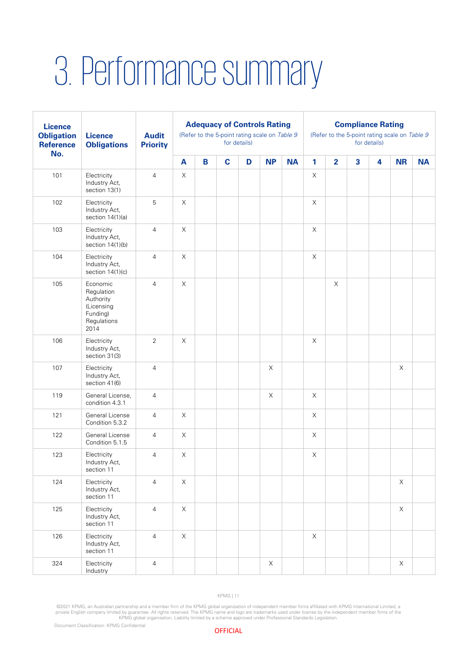### <span id="page-14-0"></span>3. Performance summary

| <b>Licence</b><br><b>Obligation</b><br><b>Reference</b><br>No. | <b>Licence</b><br><b>Obligations</b>                                                 | <b>Audit</b><br><b>Priority</b> | <b>Adequacy of Controls Rating</b><br>(Refer to the 5-point rating scale on Table 9<br>for details) |   |             |   |             | <b>Compliance Rating</b><br>(Refer to the 5-point rating scale on Table 9<br>for details) |             |                |                         |   |             |           |
|----------------------------------------------------------------|--------------------------------------------------------------------------------------|---------------------------------|-----------------------------------------------------------------------------------------------------|---|-------------|---|-------------|-------------------------------------------------------------------------------------------|-------------|----------------|-------------------------|---|-------------|-----------|
|                                                                |                                                                                      |                                 | $\mathbf{A}$                                                                                        | B | $\mathbf c$ | D | <b>NP</b>   | <b>NA</b>                                                                                 | 1           | $\overline{2}$ | $\overline{\mathbf{3}}$ | 4 | <b>NR</b>   | <b>NA</b> |
| 101                                                            | Electricity<br>Industry Act,<br>section 13(1)                                        | $\overline{4}$                  | $\mathsf X$                                                                                         |   |             |   |             |                                                                                           | $\mathsf X$ |                |                         |   |             |           |
| 102                                                            | Electricity<br>Industry Act,<br>section $14(1)(a)$                                   | 5                               | $\mathsf X$                                                                                         |   |             |   |             |                                                                                           | $\mathsf X$ |                |                         |   |             |           |
| 103                                                            | Electricity<br>Industry Act,<br>section 14(1)(b)                                     | $\overline{4}$                  | $\mathsf X$                                                                                         |   |             |   |             |                                                                                           | $\mathsf X$ |                |                         |   |             |           |
| 104                                                            | Electricity<br>Industry Act,<br>section $14(1)(c)$                                   | $\overline{4}$                  | $\mathsf X$                                                                                         |   |             |   |             |                                                                                           | $\mathsf X$ |                |                         |   |             |           |
| 105                                                            | Economic<br>Regulation<br>Authority<br>(Licensing<br>Funding)<br>Regulations<br>2014 | $\overline{4}$                  | $\mathsf X$                                                                                         |   |             |   |             |                                                                                           |             | $\mathsf X$    |                         |   |             |           |
| 106                                                            | Electricity<br>Industry Act,<br>section 31(3)                                        | 2                               | $\mathsf X$                                                                                         |   |             |   |             |                                                                                           | X           |                |                         |   |             |           |
| 107                                                            | Electricity<br>Industry Act,<br>section 41(6)                                        | $\overline{4}$                  |                                                                                                     |   |             |   | $\mathsf X$ |                                                                                           |             |                |                         |   | $\mathsf X$ |           |
| 119                                                            | General License,<br>condition 4.3.1                                                  | $\overline{4}$                  |                                                                                                     |   |             |   | $\mathsf X$ |                                                                                           | X           |                |                         |   |             |           |
| 121                                                            | General License<br>Condition 5.3.2                                                   | $\overline{4}$                  | X                                                                                                   |   |             |   |             |                                                                                           | $\mathsf X$ |                |                         |   |             |           |
| 122                                                            | General License<br>Condition 5.1.5                                                   | $\overline{4}$                  | $\mathsf X$                                                                                         |   |             |   |             |                                                                                           | $\mathsf X$ |                |                         |   |             |           |
| 123                                                            | Electricity<br>Industry Act,<br>section 11                                           | 4                               | $\mathsf X$                                                                                         |   |             |   |             |                                                                                           | $\mathsf X$ |                |                         |   |             |           |
| 124                                                            | Electricity<br>Industry Act,<br>section 11                                           | $\overline{4}$                  | $\mathsf X$                                                                                         |   |             |   |             |                                                                                           |             |                |                         |   | $\mathsf X$ |           |
| 125                                                            | Electricity<br>Industry Act,<br>section 11                                           | $\overline{4}$                  | $\mathsf X$                                                                                         |   |             |   |             |                                                                                           |             |                |                         |   | $\times$    |           |
| 126                                                            | Electricity<br>Industry Act,<br>section 11                                           | $\overline{4}$                  | $\mathsf X$                                                                                         |   |             |   |             |                                                                                           | $\mathsf X$ |                |                         |   |             |           |
| 324                                                            | Electricity<br>Industry                                                              | $\overline{4}$                  |                                                                                                     |   |             |   | $\mathsf X$ |                                                                                           |             |                |                         |   | $\mathsf X$ |           |

KPMG | 11

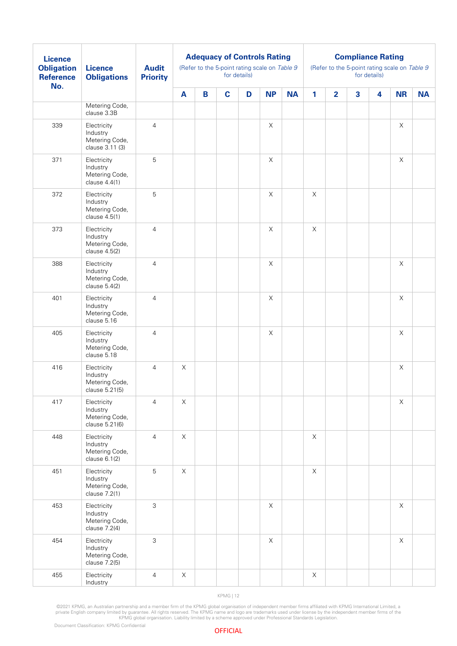| <b>Licence</b><br><b>Obligation</b><br><b>Reference</b><br>No. | <b>Licence</b><br><b>Obligations</b>                         | <b>Audit</b><br><b>Priority</b> | <b>Adequacy of Controls Rating</b><br>(Refer to the 5-point rating scale on Table 9<br>for details) |   |             |   |             |           | <b>Compliance Rating</b><br>(Refer to the 5-point rating scale on Table 9<br>for details) |                |                         |                         |                           |           |
|----------------------------------------------------------------|--------------------------------------------------------------|---------------------------------|-----------------------------------------------------------------------------------------------------|---|-------------|---|-------------|-----------|-------------------------------------------------------------------------------------------|----------------|-------------------------|-------------------------|---------------------------|-----------|
|                                                                |                                                              |                                 | A                                                                                                   | B | $\mathbf c$ | D | <b>NP</b>   | <b>NA</b> | 1                                                                                         | $\overline{2}$ | $\overline{\mathbf{3}}$ | $\overline{\mathbf{4}}$ | <b>NR</b>                 | <b>NA</b> |
|                                                                | Metering Code,<br>clause 3.3B                                |                                 |                                                                                                     |   |             |   |             |           |                                                                                           |                |                         |                         |                           |           |
| 339                                                            | Electricity<br>Industry<br>Metering Code,<br>clause 3.11 (3) | $\overline{4}$                  |                                                                                                     |   |             |   | $\mathsf X$ |           |                                                                                           |                |                         |                         | $\boldsymbol{\mathsf{X}}$ |           |
| 371                                                            | Electricity<br>Industry<br>Metering Code,<br>clause 4.4(1)   | $\overline{5}$                  |                                                                                                     |   |             |   | $\mathsf X$ |           |                                                                                           |                |                         |                         | $\mathsf X$               |           |
| 372                                                            | Electricity<br>Industry<br>Metering Code,<br>clause 4.5(1)   | $\overline{5}$                  |                                                                                                     |   |             |   | $\mathsf X$ |           | $\mathsf X$                                                                               |                |                         |                         |                           |           |
| 373                                                            | Electricity<br>Industry<br>Metering Code,<br>clause 4.5(2)   | $\overline{4}$                  |                                                                                                     |   |             |   | $\mathsf X$ |           | $\mathsf X$                                                                               |                |                         |                         |                           |           |
| 388                                                            | Electricity<br>Industry<br>Metering Code,<br>clause 5.4(2)   | $\overline{4}$                  |                                                                                                     |   |             |   | $\mathsf X$ |           |                                                                                           |                |                         |                         | $\boldsymbol{\mathsf{X}}$ |           |
| 401                                                            | Electricity<br>Industry<br>Metering Code,<br>clause 5.16     | $\overline{4}$                  |                                                                                                     |   |             |   | $\mathsf X$ |           |                                                                                           |                |                         |                         | $\mathsf X$               |           |
| 405                                                            | Electricity<br>Industry<br>Metering Code,<br>clause 5.18     | $\overline{4}$                  |                                                                                                     |   |             |   | $\mathsf X$ |           |                                                                                           |                |                         |                         | $\boldsymbol{\mathsf{X}}$ |           |
| 416                                                            | Electricity<br>Industry<br>Metering Code,<br>clause 5.21(5)  | $\overline{4}$                  | X                                                                                                   |   |             |   |             |           |                                                                                           |                |                         |                         | $\boldsymbol{\times}$     |           |
| 417                                                            | Electricity<br>Industry<br>Metering Code,<br>clause 5.21(6)  | $\overline{4}$                  | $\mathsf X$                                                                                         |   |             |   |             |           |                                                                                           |                |                         |                         | $\mathsf X$               |           |
| 448                                                            | Electricity<br>Industry<br>Metering Code,<br>clause 6.1(2)   | $\overline{4}$                  | $\mathsf X$                                                                                         |   |             |   |             |           | $\mathsf X$                                                                               |                |                         |                         |                           |           |
| 451                                                            | Electricity<br>Industry<br>Metering Code,<br>clause 7.2(1)   | $\sqrt{5}$                      | $\mathsf X$                                                                                         |   |             |   |             |           | $\mathsf X$                                                                               |                |                         |                         |                           |           |
| 453                                                            | Electricity<br>Industry<br>Metering Code,<br>clause 7.2(4)   | $\ensuremath{\mathsf{3}}$       |                                                                                                     |   |             |   | $\mathsf X$ |           |                                                                                           |                |                         |                         | X                         |           |
| 454                                                            | Electricity<br>Industry<br>Metering Code,<br>clause 7.2(5)   | $\sqrt{3}$                      |                                                                                                     |   |             |   | $\mathsf X$ |           |                                                                                           |                |                         |                         | $\times$                  |           |
| 455                                                            | Electricity<br>Industry                                      | $\overline{4}$                  | X                                                                                                   |   |             |   |             |           | X                                                                                         |                |                         |                         |                           |           |

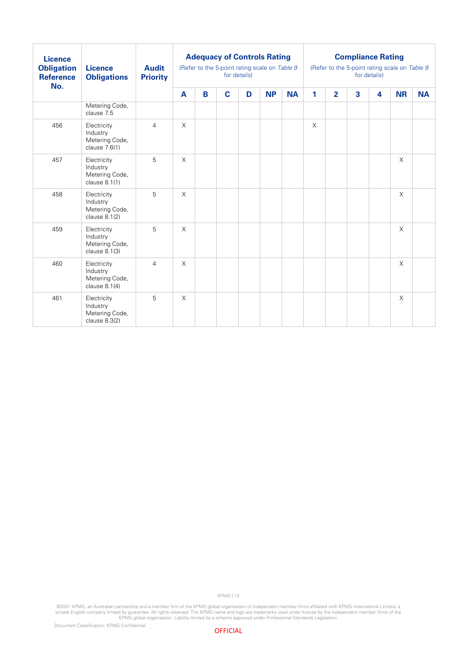| <b>Licence</b><br><b>Obligation</b><br><b>Reference</b><br>No. | <b>Licence</b><br><b>Obligations</b>                         | <b>Audit</b><br><b>Priority</b> |          |   | <b>Adequacy of Controls Rating</b><br>(Refer to the 5-point rating scale on Table 9 | for details) |           |           | <b>Compliance Rating</b><br>(Refer to the 5-point rating scale on Table 9<br>for details) |                |                         |   |           |           |
|----------------------------------------------------------------|--------------------------------------------------------------|---------------------------------|----------|---|-------------------------------------------------------------------------------------|--------------|-----------|-----------|-------------------------------------------------------------------------------------------|----------------|-------------------------|---|-----------|-----------|
|                                                                |                                                              |                                 | A        | B | $\mathbf c$                                                                         | D            | <b>NP</b> | <b>NA</b> | 1                                                                                         | $\overline{2}$ | $\overline{\mathbf{3}}$ | 4 | <b>NR</b> | <b>NA</b> |
|                                                                | Metering Code,<br>clause 7.5                                 |                                 |          |   |                                                                                     |              |           |           |                                                                                           |                |                         |   |           |           |
| 456                                                            | Electricity<br>Industry<br>Metering Code,<br>clause 7.6(1)   | $\overline{4}$                  | $\times$ |   |                                                                                     |              |           |           | $\times$                                                                                  |                |                         |   |           |           |
| 457                                                            | Electricity<br>Industry<br>Metering Code,<br>clause 8.1(1)   | 5                               | $\times$ |   |                                                                                     |              |           |           |                                                                                           |                |                         |   | $\times$  |           |
| 458                                                            | Electricity<br>Industry<br>Metering Code,<br>clause 8.1(2)   | 5                               | $\times$ |   |                                                                                     |              |           |           |                                                                                           |                |                         |   | $\times$  |           |
| 459                                                            | Electricity<br>Industry<br>Metering Code,<br>clause 8.1(3)   | 5                               | $\times$ |   |                                                                                     |              |           |           |                                                                                           |                |                         |   | $\times$  |           |
| 460                                                            | Electricity<br>Industry<br>Metering Code,<br>clause $8.1(4)$ | $\overline{4}$                  | $\times$ |   |                                                                                     |              |           |           |                                                                                           |                |                         |   | $\times$  |           |
| 461                                                            | Electricity<br>Industry<br>Metering Code,<br>clause 8.3(2)   | 5                               | $\times$ |   |                                                                                     |              |           |           |                                                                                           |                |                         |   | $\times$  |           |

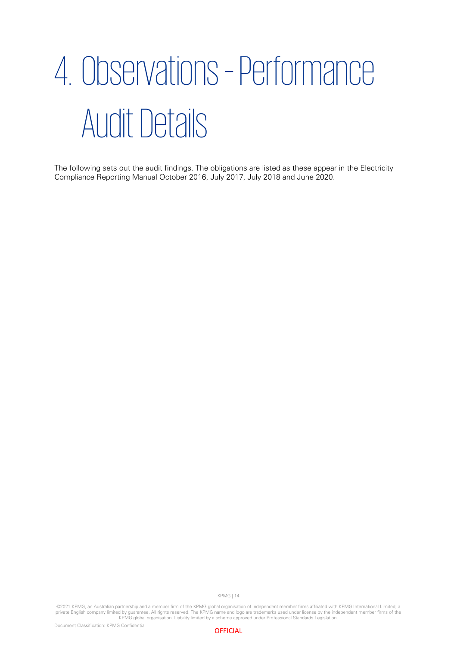## <span id="page-17-0"></span>4. Observations –Performance Audit Details

The following sets out the audit findings. The obligations are listed as these appear in the Electricity Compliance Reporting Manual October 2016, July 2017, July 2018 and June 2020.

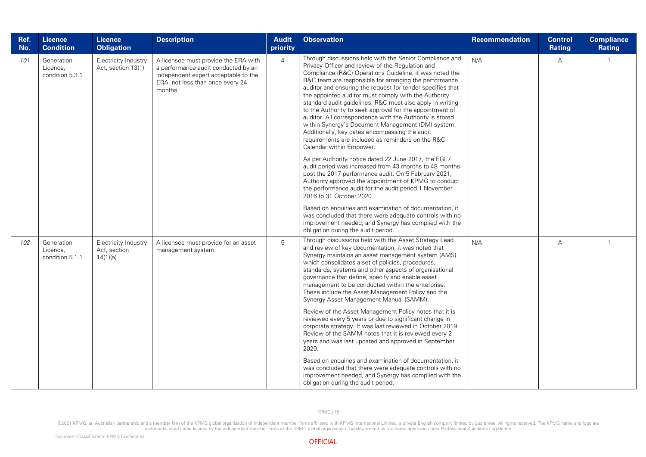| Ref.<br>No. | Licence<br><b>Condition</b>               | <b>Licence</b><br><b>Obligation</b>              | <b>Description</b>                                                                                                                                                 | <b>Audit</b><br>priority | <b>Observation</b>                                                                                                                                                                                                                                                                                                                                                                                                                                                                                                                                                                                                                                                                                                                                                                                                                                                                                                                                                                                                                                                                                                                                                                                                                                                                | Recommendation | <b>Control</b><br>Rating | <b>Compliance</b><br><b>Rating</b> |
|-------------|-------------------------------------------|--------------------------------------------------|--------------------------------------------------------------------------------------------------------------------------------------------------------------------|--------------------------|-----------------------------------------------------------------------------------------------------------------------------------------------------------------------------------------------------------------------------------------------------------------------------------------------------------------------------------------------------------------------------------------------------------------------------------------------------------------------------------------------------------------------------------------------------------------------------------------------------------------------------------------------------------------------------------------------------------------------------------------------------------------------------------------------------------------------------------------------------------------------------------------------------------------------------------------------------------------------------------------------------------------------------------------------------------------------------------------------------------------------------------------------------------------------------------------------------------------------------------------------------------------------------------|----------------|--------------------------|------------------------------------|
| 101         | Generation<br>Licence.<br>condition 5.3.1 | Electricity Industry<br>Act, section 13(1)       | A licensee must provide the ERA with<br>a performance audit conducted by an<br>independent expert acceptable to the<br>ERA, not less than once every 24<br>months. | $\overline{4}$           | Through discussions held with the Senior Compliance and<br>Privacy Officer and review of the Regulation and<br>Compliance (R&C) Operations Guideline, it was noted the<br>R&C team are responsible for arranging the performance<br>auditor and ensuring the request for tender specifies that<br>the appointed auditor must comply with the Authority<br>standard audit guidelines. R&C must also apply in writing<br>to the Authority to seek approval for the appointment of<br>auditor. All correspondence with the Authority is stored<br>within Synergy's Document Management (DM) system.<br>Additionally, key dates encompassing the audit<br>requirements are included as reminders on the R&C<br>Calendar within Empower.<br>As per Authority notice dated 22 June 2017, the EGL7<br>audit period was increased from 43 months to 48 months<br>post the 2017 performance audit. On 5 February 2021,<br>Authority approved the appointment of KPMG to conduct<br>the performance audit for the audit period 1 November<br>2016 to 31 October 2020.<br>Based on enquiries and examination of documentation, it<br>was concluded that there were adequate controls with no<br>improvement needed, and Synergy has complied with the<br>obligation during the audit period. | N/A            | А                        | $\mathbf{1}$                       |
| 102         | Generation<br>Licence,<br>condition 5.1.1 | Electricity Industry<br>Act, section<br>14(1)(a) | A licensee must provide for an asset<br>management system.                                                                                                         | 5                        | Through discussions held with the Asset Strategy Lead<br>and review of key documentation, it was noted that<br>Synergy maintains an asset management system (AMS)<br>which consolidates a set of policies, procedures,<br>standards, systems and other aspects of organisational<br>governance that define, specify and enable asset<br>management to be conducted within the enterprise.<br>These include the Asset Management Policy and the<br>Synergy Asset Management Manual (SAMM).<br>Review of the Asset Management Policy notes that it is<br>reviewed every 5 years or due to significant change in<br>corporate strategy. It was last reviewed in October 2019.<br>Review of the SAMM notes that it is reviewed every 2<br>years and was last updated and approved in September<br>2020.<br>Based on enquiries and examination of documentation, it<br>was concluded that there were adequate controls with no<br>improvement needed, and Synergy has complied with the<br>obligation during the audit period.                                                                                                                                                                                                                                                         | N/A            | $\overline{A}$           | $\overline{1}$                     |

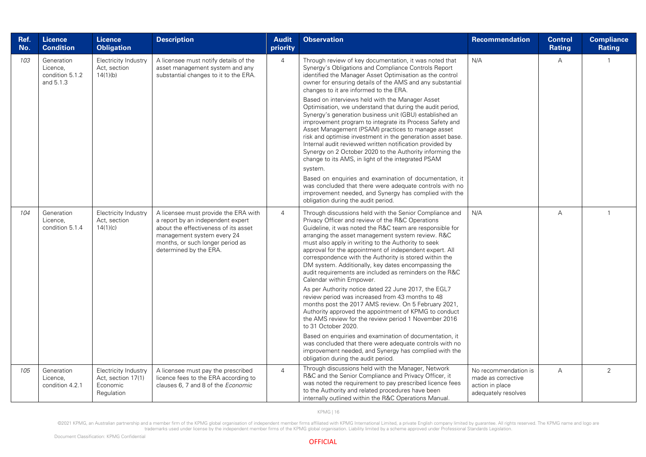| Ref.<br>No. | <b>Licence</b><br><b>Condition</b>                     | <b>Licence</b><br><b>Obligation</b>                                  | <b>Description</b>                                                                                                                                                                                            | <b>Audit</b><br>priority | <b>Observation</b>                                                                                                                                                                                                                                                                                                                                                                                                                                                                                                                                                                                                                                                                                                                                                                                                                                                                                                                                                                                                                                                                       | <b>Recommendation</b>                                                                | Control<br>Rating | <b>Compliance</b><br><b>Rating</b> |
|-------------|--------------------------------------------------------|----------------------------------------------------------------------|---------------------------------------------------------------------------------------------------------------------------------------------------------------------------------------------------------------|--------------------------|------------------------------------------------------------------------------------------------------------------------------------------------------------------------------------------------------------------------------------------------------------------------------------------------------------------------------------------------------------------------------------------------------------------------------------------------------------------------------------------------------------------------------------------------------------------------------------------------------------------------------------------------------------------------------------------------------------------------------------------------------------------------------------------------------------------------------------------------------------------------------------------------------------------------------------------------------------------------------------------------------------------------------------------------------------------------------------------|--------------------------------------------------------------------------------------|-------------------|------------------------------------|
| 103         | Generation<br>Licence,<br>condition 5.1.2<br>and 5.1.3 | Electricity Industry<br>Act, section<br>14(1)(b)                     | A licensee must notify details of the<br>asset management system and any<br>substantial changes to it to the ERA.                                                                                             | 4                        | Through review of key documentation, it was noted that<br>Synergy's Obligations and Compliance Controls Report<br>identified the Manager Asset Optimisation as the control<br>owner for ensuring details of the AMS and any substantial<br>changes to it are informed to the ERA.<br>Based on interviews held with the Manager Asset<br>Optimisation, we understand that during the audit period,<br>Synergy's generation business unit (GBU) established an<br>improvement program to integrate its Process Safety and<br>Asset Management (PSAM) practices to manage asset<br>risk and optimise investment in the generation asset base.<br>Internal audit reviewed written notification provided by<br>Synergy on 2 October 2020 to the Authority informing the<br>change to its AMS, in light of the integrated PSAM<br>system.<br>Based on enquiries and examination of documentation, it<br>was concluded that there were adequate controls with no<br>improvement needed, and Synergy has complied with the<br>obligation during the audit period.                                | N/A                                                                                  | А                 | $\mathbf{1}$                       |
| 104         | Generation<br>Licence,<br>condition 5.1.4              | Electricity Industry<br>Act, section<br>14(1)(c)                     | A licensee must provide the ERA with<br>a report by an independent expert<br>about the effectiveness of its asset<br>management system every 24<br>months, or such longer period as<br>determined by the ERA. | $\overline{4}$           | Through discussions held with the Senior Compliance and<br>Privacy Officer and review of the R&C Operations<br>Guideline, it was noted the R&C team are responsible for<br>arranging the asset management system review. R&C<br>must also apply in writing to the Authority to seek<br>approval for the appointment of independent expert. All<br>correspondence with the Authority is stored within the<br>DM system. Additionally, key dates encompassing the<br>audit requirements are included as reminders on the R&C<br>Calendar within Empower.<br>As per Authority notice dated 22 June 2017, the EGL7<br>review period was increased from 43 months to 48<br>months post the 2017 AMS review. On 5 February 2021,<br>Authority approved the appointment of KPMG to conduct<br>the AMS review for the review period 1 November 2016<br>to 31 October 2020.<br>Based on enquiries and examination of documentation, it<br>was concluded that there were adequate controls with no<br>improvement needed, and Synergy has complied with the<br>obligation during the audit period. | N/A                                                                                  | $\overline{A}$    | $\mathbf{1}$                       |
| 105         | Generation<br>Licence,<br>condition 4.2.1              | Electricity Industry<br>Act, section 17(1)<br>Economic<br>Regulation | A licensee must pay the prescribed<br>licence fees to the ERA according to<br>clauses 6, 7 and 8 of the Economic                                                                                              | $\overline{4}$           | Through discussions held with the Manager, Network<br>R&C and the Senior Compliance and Privacy Officer, it<br>was noted the requirement to pay prescribed licence fees<br>to the Authority and related procedures have been<br>internally outlined within the R&C Operations Manual.                                                                                                                                                                                                                                                                                                                                                                                                                                                                                                                                                                                                                                                                                                                                                                                                    | No recommendation is<br>made as corrective<br>action in place<br>adequately resolves | Α                 | 2                                  |

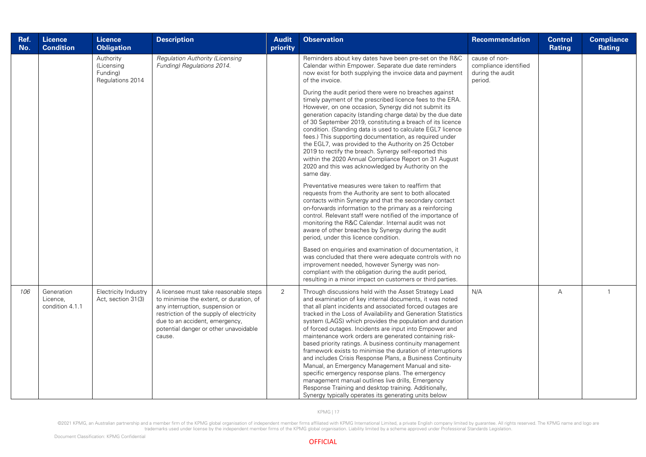| Ref.<br>No. | <b>Licence</b><br><b>Condition</b>        | <b>Licence</b><br><b>Obligation</b>                     | <b>Description</b>                                                                                                                                                                                                                                   | <b>Audit</b><br>priority | <b>Observation</b>                                                                                                                                                                                                                                                                                                                                                                                                                                                                                                                                                                                                                                                                                                                                                                                                                                                                                     | <b>Recommendation</b>                                                 | <b>Control</b><br><b>Rating</b> | <b>Compliance</b><br><b>Rating</b> |
|-------------|-------------------------------------------|---------------------------------------------------------|------------------------------------------------------------------------------------------------------------------------------------------------------------------------------------------------------------------------------------------------------|--------------------------|--------------------------------------------------------------------------------------------------------------------------------------------------------------------------------------------------------------------------------------------------------------------------------------------------------------------------------------------------------------------------------------------------------------------------------------------------------------------------------------------------------------------------------------------------------------------------------------------------------------------------------------------------------------------------------------------------------------------------------------------------------------------------------------------------------------------------------------------------------------------------------------------------------|-----------------------------------------------------------------------|---------------------------------|------------------------------------|
|             |                                           | Authority<br>(Licensing<br>Funding)<br>Regulations 2014 | <b>Regulation Authority (Licensing</b><br>Funding) Regulations 2014.                                                                                                                                                                                 |                          | Reminders about key dates have been pre-set on the R&C<br>Calendar within Empower. Separate due date reminders<br>now exist for both supplying the invoice data and payment<br>of the invoice.                                                                                                                                                                                                                                                                                                                                                                                                                                                                                                                                                                                                                                                                                                         | cause of non-<br>compliance identified<br>during the audit<br>period. |                                 |                                    |
|             |                                           |                                                         |                                                                                                                                                                                                                                                      |                          | During the audit period there were no breaches against<br>timely payment of the prescribed licence fees to the ERA.<br>However, on one occasion, Synergy did not submit its<br>generation capacity (standing charge data) by the due date<br>of 30 September 2019, constituting a breach of its licence<br>condition. (Standing data is used to calculate EGL7 licence<br>fees.) This supporting documentation, as required under<br>the EGL7, was provided to the Authority on 25 October<br>2019 to rectify the breach. Synergy self-reported this<br>within the 2020 Annual Compliance Report on 31 August<br>2020 and this was acknowledged by Authority on the<br>same day.                                                                                                                                                                                                                       |                                                                       |                                 |                                    |
|             |                                           |                                                         |                                                                                                                                                                                                                                                      |                          | Preventative measures were taken to reaffirm that<br>requests from the Authority are sent to both allocated<br>contacts within Synergy and that the secondary contact<br>on-forwards information to the primary as a reinforcing<br>control. Relevant staff were notified of the importance of<br>monitoring the R&C Calendar. Internal audit was not<br>aware of other breaches by Synergy during the audit<br>period, under this licence condition.                                                                                                                                                                                                                                                                                                                                                                                                                                                  |                                                                       |                                 |                                    |
|             |                                           |                                                         |                                                                                                                                                                                                                                                      |                          | Based on enquiries and examination of documentation, it<br>was concluded that there were adequate controls with no<br>improvement needed, however Synergy was non-<br>compliant with the obligation during the audit period,<br>resulting in a minor impact on customers or third parties.                                                                                                                                                                                                                                                                                                                                                                                                                                                                                                                                                                                                             |                                                                       |                                 |                                    |
| 106         | Generation<br>Licence,<br>condition 4.1.1 | Electricity Industry<br>Act, section 31(3)              | A licensee must take reasonable steps<br>to minimise the extent, or duration, of<br>any interruption, suspension or<br>restriction of the supply of electricity<br>due to an accident, emergency,<br>potential danger or other unavoidable<br>cause. | 2                        | Through discussions held with the Asset Strategy Lead<br>and examination of key internal documents, it was noted<br>that all plant incidents and associated forced outages are<br>tracked in the Loss of Availability and Generation Statistics<br>system (LAGS) which provides the population and duration<br>of forced outages. Incidents are input into Empower and<br>maintenance work orders are generated containing risk-<br>based priority ratings. A business continuity management<br>framework exists to minimise the duration of interruptions<br>and includes Crisis Response Plans, a Business Continuity<br>Manual, an Emergency Management Manual and site-<br>specific emergency response plans. The emergency<br>management manual outlines live drills, Emergency<br>Response Training and desktop training. Additionally,<br>Synergy typically operates its generating units below | N/A                                                                   | $\overline{A}$                  | $\mathbf{1}$                       |

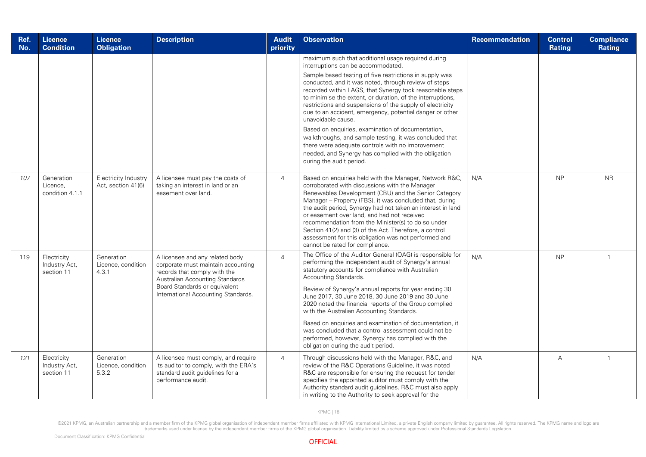| Ref.<br>No. | <b>Licence</b><br><b>Condition</b>         | <b>Licence</b><br><b>Obligation</b>               | <b>Description</b>                                                                                                                                                                                               | <b>Audit</b><br>priority | <b>Observation</b>                                                                                                                                                                                                                                                                                                                                                                                                                                                                                                                                                                                                                                                                                                                           | Recommendation | <b>Control</b><br>Rating | <b>Compliance</b><br>Rating |
|-------------|--------------------------------------------|---------------------------------------------------|------------------------------------------------------------------------------------------------------------------------------------------------------------------------------------------------------------------|--------------------------|----------------------------------------------------------------------------------------------------------------------------------------------------------------------------------------------------------------------------------------------------------------------------------------------------------------------------------------------------------------------------------------------------------------------------------------------------------------------------------------------------------------------------------------------------------------------------------------------------------------------------------------------------------------------------------------------------------------------------------------------|----------------|--------------------------|-----------------------------|
|             |                                            |                                                   |                                                                                                                                                                                                                  |                          | maximum such that additional usage required during<br>interruptions can be accommodated.<br>Sample based testing of five restrictions in supply was<br>conducted, and it was noted, through review of steps<br>recorded within LAGS, that Synergy took reasonable steps<br>to minimise the extent, or duration, of the interruptions,<br>restrictions and suspensions of the supply of electricity<br>due to an accident, emergency, potential danger or other<br>unavoidable cause.<br>Based on enquiries, examination of documentation,<br>walkthroughs, and sample testing, it was concluded that<br>there were adequate controls with no improvement<br>needed, and Synergy has complied with the obligation<br>during the audit period. |                |                          |                             |
| 107         | Generation<br>Licence.<br>condition 4.1.1  | <b>Electricity Industry</b><br>Act, section 41(6) | A licensee must pay the costs of<br>taking an interest in land or an<br>easement over land.                                                                                                                      | $\overline{4}$           | Based on enquiries held with the Manager, Network R&C,<br>corroborated with discussions with the Manager<br>Renewables Development (CBU) and the Senior Category<br>Manager - Property (FBS), it was concluded that, during<br>the audit period, Synergy had not taken an interest in land<br>or easement over land, and had not received<br>recommendation from the Minister(s) to do so under<br>Section 41(2) and (3) of the Act. Therefore, a control<br>assessment for this obligation was not performed and<br>cannot be rated for compliance.                                                                                                                                                                                         | N/A            | <b>NP</b>                | <b>NR</b>                   |
| 119         | Electricity<br>Industry Act,<br>section 11 | Generation<br>Licence, condition<br>4.3.1         | A licensee and any related body<br>corporate must maintain accounting<br>records that comply with the<br>Australian Accounting Standards<br>Board Standards or equivalent<br>International Accounting Standards. | $\overline{4}$           | The Office of the Auditor General (OAG) is responsible for<br>performing the independent audit of Synergy's annual<br>statutory accounts for compliance with Australian<br>Accounting Standards.<br>Review of Synergy's annual reports for year ending 30<br>June 2017, 30 June 2018, 30 June 2019 and 30 June<br>2020 noted the financial reports of the Group complied<br>with the Australian Accounting Standards.<br>Based on enquiries and examination of documentation, it<br>was concluded that a control assessment could not be<br>performed, however, Synergy has complied with the<br>obligation during the audit period.                                                                                                         | N/A            | <b>NP</b>                | $\overline{1}$              |
| 121         | Electricity<br>Industry Act,<br>section 11 | Generation<br>Licence, condition<br>5.3.2         | A licensee must comply, and require<br>its auditor to comply, with the ERA's<br>standard audit guidelines for a<br>performance audit.                                                                            | $\overline{4}$           | Through discussions held with the Manager, R&C, and<br>review of the R&C Operations Guideline, it was noted<br>R&C are responsible for ensuring the request for tender<br>specifies the appointed auditor must comply with the<br>Authority standard audit guidelines. R&C must also apply<br>in writing to the Authority to seek approval for the                                                                                                                                                                                                                                                                                                                                                                                           | N/A            | Α                        | $\overline{1}$              |

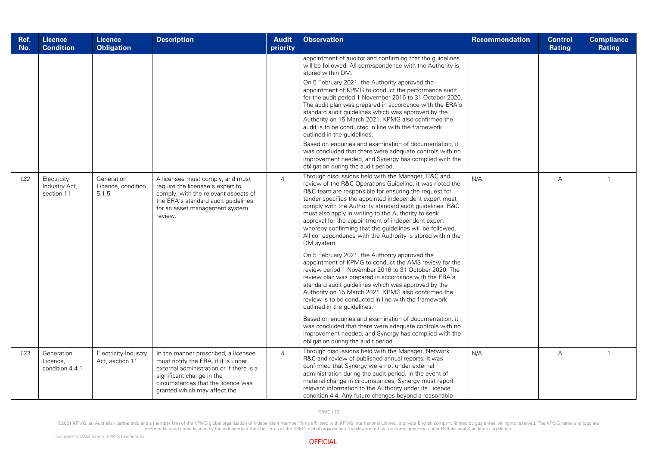| Ref.<br>No. | <b>Licence</b><br><b>Condition</b>         | <b>Licence</b><br><b>Obligation</b>       | <b>Description</b>                                                                                                                                                                                                         | <b>Audit</b><br>priority | <b>Observation</b>                                                                                                                                                                                                                                                                                                                                                                                                                                                                                                                                                                                                                                                                                                                                                                                                                                                                                                                                                                                                                                                                                                                                                                                         | <b>Recommendation</b> | Control<br><b>Rating</b> | <b>Compliance</b><br><b>Rating</b> |
|-------------|--------------------------------------------|-------------------------------------------|----------------------------------------------------------------------------------------------------------------------------------------------------------------------------------------------------------------------------|--------------------------|------------------------------------------------------------------------------------------------------------------------------------------------------------------------------------------------------------------------------------------------------------------------------------------------------------------------------------------------------------------------------------------------------------------------------------------------------------------------------------------------------------------------------------------------------------------------------------------------------------------------------------------------------------------------------------------------------------------------------------------------------------------------------------------------------------------------------------------------------------------------------------------------------------------------------------------------------------------------------------------------------------------------------------------------------------------------------------------------------------------------------------------------------------------------------------------------------------|-----------------------|--------------------------|------------------------------------|
|             |                                            |                                           |                                                                                                                                                                                                                            |                          | appointment of auditor and confirming that the guidelines<br>will be followed. All correspondence with the Authority is<br>stored within DM.<br>On 5 February 2021, the Authority approved the<br>appointment of KPMG to conduct the performance audit<br>for the audit period 1 November 2016 to 31 October 2020.<br>The audit plan was prepared in accordance with the ERA's<br>standard audit guidelines which was approved by the<br>Authority on 15 March 2021. KPMG also confirmed the<br>audit is to be conducted in line with the framework<br>outlined in the guidelines.<br>Based on enquiries and examination of documentation, it<br>was concluded that there were adequate controls with no<br>improvement needed, and Synergy has complied with the<br>obligation during the audit period.                                                                                                                                                                                                                                                                                                                                                                                                   |                       |                          |                                    |
| 122         | Electricity<br>Industry Act,<br>section 11 | Generation<br>Licence, condition<br>5.1.5 | A licensee must comply, and must<br>require the licensee's expert to<br>comply, with the relevant aspects of<br>the ERA's standard audit guidelines<br>for an asset management system<br>review.                           | $\overline{4}$           | Through discussions held with the Manager, R&C and<br>review of the R&C Operations Guideline, it was noted the<br>R&C team are responsible for ensuring the request for<br>tender specifies the appointed independent expert must<br>comply with the Authority standard audit guidelines. R&C<br>must also apply in writing to the Authority to seek<br>approval for the appointment of independent expert<br>whereby confirming that the guidelines will be followed.<br>All correspondence with the Authority is stored within the<br>DM system.<br>On 5 February 2021, the Authority approved the<br>appointment of KPMG to conduct the AMS review for the<br>review period 1 November 2016 to 31 October 2020. The<br>review plan was prepared in accordance with the ERA's<br>standard audit guidelines which was approved by the<br>Authority on 15 March 2021. KPMG also confirmed the<br>review is to be conducted in line with the framework<br>outlined in the guidelines.<br>Based on enquiries and examination of documentation, it<br>was concluded that there were adequate controls with no<br>improvement needed, and Synergy has complied with the<br>obligation during the audit period. | N/A                   | $\overline{A}$           | $\mathbf{1}$                       |
| 123         | Generation<br>Licence,<br>condition 4.4.1  | Electricity Industry<br>Act, section 11   | In the manner prescribed, a licensee<br>must notify the ERA, if it is under<br>external administration or if there is a<br>significant change in the<br>circumstances that the licence was<br>granted which may affect the | $\overline{4}$           | Through discussions held with the Manager, Network<br>R&C and review of published annual reports, it was<br>confirmed that Synergy were not under external<br>administration during the audit period. In the event of<br>material change in circumstances, Synergy must report<br>relevant information to the Authority under its Licence<br>condition 4.4. Any future changes beyond a reasonable                                                                                                                                                                                                                                                                                                                                                                                                                                                                                                                                                                                                                                                                                                                                                                                                         | N/A                   | $\overline{A}$           | $\mathbf{1}$                       |

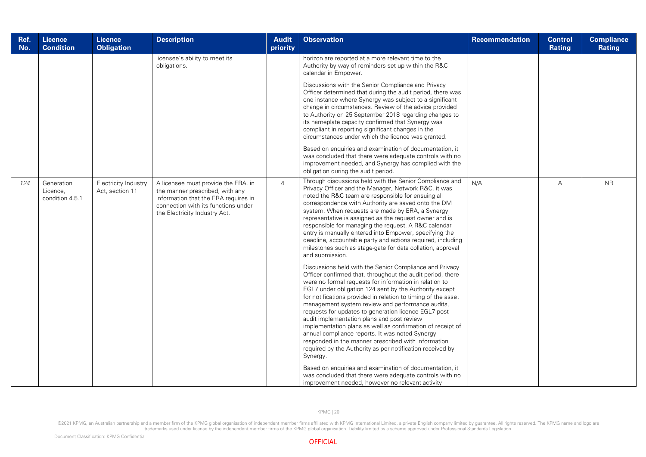| Ref.<br>No. | <b>Licence</b><br><b>Condition</b>        | <b>Licence</b><br><b>Obligation</b>     | <b>Description</b>                                                                                                                                                                     | <b>Audit</b><br>priority | <b>Observation</b>                                                                                                                                                                                                                                                                                                                                                                                                                                                                                                                                                                                                                                                                                                                                                                                                                                                                                                                                                                                                                                                                                                                                                                                                                                                                                                                                                                               | Recommendation | <b>Control</b><br>Rating | <b>Compliance</b><br><b>Rating</b> |
|-------------|-------------------------------------------|-----------------------------------------|----------------------------------------------------------------------------------------------------------------------------------------------------------------------------------------|--------------------------|--------------------------------------------------------------------------------------------------------------------------------------------------------------------------------------------------------------------------------------------------------------------------------------------------------------------------------------------------------------------------------------------------------------------------------------------------------------------------------------------------------------------------------------------------------------------------------------------------------------------------------------------------------------------------------------------------------------------------------------------------------------------------------------------------------------------------------------------------------------------------------------------------------------------------------------------------------------------------------------------------------------------------------------------------------------------------------------------------------------------------------------------------------------------------------------------------------------------------------------------------------------------------------------------------------------------------------------------------------------------------------------------------|----------------|--------------------------|------------------------------------|
|             |                                           |                                         | licensee's ability to meet its<br>obligations.                                                                                                                                         |                          | horizon are reported at a more relevant time to the<br>Authority by way of reminders set up within the R&C<br>calendar in Empower.                                                                                                                                                                                                                                                                                                                                                                                                                                                                                                                                                                                                                                                                                                                                                                                                                                                                                                                                                                                                                                                                                                                                                                                                                                                               |                |                          |                                    |
|             |                                           |                                         |                                                                                                                                                                                        |                          | Discussions with the Senior Compliance and Privacy<br>Officer determined that during the audit period, there was<br>one instance where Synergy was subject to a significant<br>change in circumstances. Review of the advice provided<br>to Authority on 25 September 2018 regarding changes to<br>its nameplate capacity confirmed that Synergy was<br>compliant in reporting significant changes in the<br>circumstances under which the licence was granted.                                                                                                                                                                                                                                                                                                                                                                                                                                                                                                                                                                                                                                                                                                                                                                                                                                                                                                                                  |                |                          |                                    |
|             |                                           |                                         |                                                                                                                                                                                        |                          | Based on enquiries and examination of documentation, it<br>was concluded that there were adequate controls with no<br>improvement needed, and Synergy has complied with the<br>obligation during the audit period.                                                                                                                                                                                                                                                                                                                                                                                                                                                                                                                                                                                                                                                                                                                                                                                                                                                                                                                                                                                                                                                                                                                                                                               |                |                          |                                    |
| 124         | Generation<br>Licence,<br>condition 4.5.1 | Electricity Industry<br>Act, section 11 | A licensee must provide the ERA, in<br>the manner prescribed, with any<br>information that the ERA requires in<br>connection with its functions under<br>the Electricity Industry Act. | $\overline{4}$           | Through discussions held with the Senior Compliance and<br>Privacy Officer and the Manager, Network R&C, it was<br>noted the R&C team are responsible for ensuing all<br>correspondence with Authority are saved onto the DM<br>system. When requests are made by ERA, a Synergy<br>representative is assigned as the request owner and is<br>responsible for managing the request. A R&C calendar<br>entry is manually entered into Empower, specifying the<br>deadline, accountable party and actions required, including<br>milestones such as stage-gate for data collation, approval<br>and submission.<br>Discussions held with the Senior Compliance and Privacy<br>Officer confirmed that, throughout the audit period, there<br>were no formal requests for information in relation to<br>EGL7 under obligation 124 sent by the Authority except<br>for notifications provided in relation to timing of the asset<br>management system review and performance audits,<br>requests for updates to generation licence EGL7 post<br>audit implementation plans and post review<br>implementation plans as well as confirmation of receipt of<br>annual compliance reports. It was noted Synergy<br>responded in the manner prescribed with information<br>required by the Authority as per notification received by<br>Synergy.<br>Based on enquiries and examination of documentation, it | N/A            | $\overline{A}$           | <b>NR</b>                          |
|             |                                           |                                         |                                                                                                                                                                                        |                          | was concluded that there were adequate controls with no<br>improvement needed, however no relevant activity                                                                                                                                                                                                                                                                                                                                                                                                                                                                                                                                                                                                                                                                                                                                                                                                                                                                                                                                                                                                                                                                                                                                                                                                                                                                                      |                |                          |                                    |

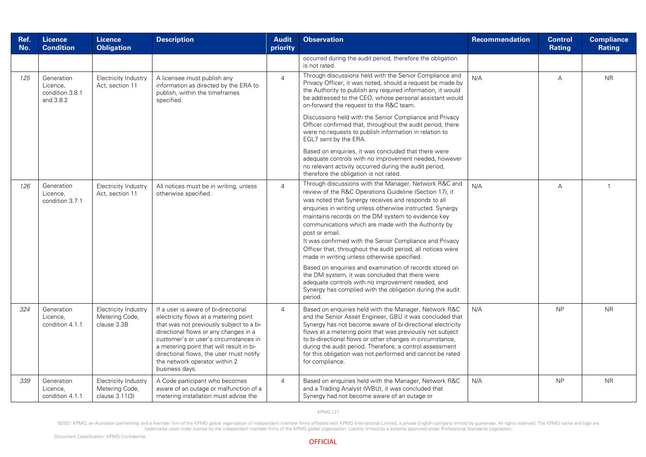| Ref.<br>No. | <b>Licence</b><br><b>Condition</b>                     | <b>Licence</b><br><b>Obligation</b>                      | <b>Description</b>                                                                                                                                                                                                                                                                                                                                    | <b>Audit</b><br>priority | <b>Observation</b>                                                                                                                                                                                                                                                                                                                                                                                                                                                                                                                                                                                                                                                                                                                                                                     | <b>Recommendation</b> | <b>Control</b><br>Rating | <b>Compliance</b><br>Rating |
|-------------|--------------------------------------------------------|----------------------------------------------------------|-------------------------------------------------------------------------------------------------------------------------------------------------------------------------------------------------------------------------------------------------------------------------------------------------------------------------------------------------------|--------------------------|----------------------------------------------------------------------------------------------------------------------------------------------------------------------------------------------------------------------------------------------------------------------------------------------------------------------------------------------------------------------------------------------------------------------------------------------------------------------------------------------------------------------------------------------------------------------------------------------------------------------------------------------------------------------------------------------------------------------------------------------------------------------------------------|-----------------------|--------------------------|-----------------------------|
|             |                                                        |                                                          |                                                                                                                                                                                                                                                                                                                                                       |                          | occurred during the audit period, therefore the obligation<br>is not rated.                                                                                                                                                                                                                                                                                                                                                                                                                                                                                                                                                                                                                                                                                                            |                       |                          |                             |
| 125         | Generation<br>Licence,<br>condition 3.8.1<br>and 3.8.2 | <b>Electricity Industry</b><br>Act, section 11           | A licensee must publish any<br>information as directed by the ERA to<br>publish, within the timeframes<br>specified.                                                                                                                                                                                                                                  | $\overline{4}$           | Through discussions held with the Senior Compliance and<br>Privacy Officer, it was noted, should a request be made by<br>the Authority to publish any required information, it would<br>be addressed to the CEO, whose personal assistant would<br>on-forward the request to the R&C team.<br>Discussions held with the Senior Compliance and Privacy<br>Officer confirmed that, throughout the audit period, there<br>were no requests to publish information in relation to<br>EGL7 sent by the ERA.<br>Based on enquiries, it was concluded that there were<br>adequate controls with no improvement needed, however<br>no relevant activity occurred during the audit period,<br>therefore the obligation is not rated.                                                            | N/A                   | $\mathsf A$              | <b>NR</b>                   |
| 126         | Generation<br>Licence,<br>condition 3.7.1              | Electricity Industry<br>Act, section 11                  | All notices must be in writing, unless<br>otherwise specified.                                                                                                                                                                                                                                                                                        | $\overline{4}$           | Through discussions with the Manager, Network R&C and<br>review of the R&C Operations Guideline (Section 17), it<br>was noted that Synergy receives and responds to all<br>enquiries in writing unless otherwise instructed. Synergy<br>maintains records on the DM system to evidence key<br>communications which are made with the Authority by<br>post or email<br>It was confirmed with the Senior Compliance and Privacy<br>Officer that, throughout the audit period, all notices were<br>made in writing unless otherwise specified.<br>Based on enquiries and examination of records stored on<br>the DM system, it was concluded that there were<br>adequate controls with no improvement needed, and<br>Synergy has complied with the obligation during the audit<br>period. | N/A                   | A                        | $\overline{1}$              |
| 324         | Generation<br>Licence,<br>condition 4.1.1              | Electricity Industry<br>Metering Code,<br>clause 3.3B    | If a user is aware of bi-directional<br>electricity flows at a metering point<br>that was not previously subject to a bi-<br>directional flows or any changes in a<br>customer's or user's circumstances in<br>a metering point that will result in bi-<br>directional flows, the user must notify<br>the network operator within 2<br>business days. | $\overline{4}$           | Based on enquiries held with the Manager, Network R&C<br>and the Senior Asset Engineer, GBU it was concluded that<br>Synergy has not become aware of bi-directional electricity<br>flows at a metering point that was previously not subject<br>to bi-directional flows or other changes in circumstance,<br>during the audit period. Therefore, a control assessment<br>for this obligation was not performed and cannot be rated<br>for compliance.                                                                                                                                                                                                                                                                                                                                  | N/A                   | <b>NP</b>                | <b>NR</b>                   |
| 339         | Generation<br>Licence.<br>condition 4.1.1              | Electricity Industry<br>Metering Code,<br>clause 3.11(3) | A Code participant who becomes<br>aware of an outage or malfunction of a<br>metering installation must advise the                                                                                                                                                                                                                                     | $\overline{4}$           | Based on enquiries held with the Manager, Network R&C<br>and a Trading Analyst (WBU), it was concluded that<br>Synergy had not become aware of an outage or                                                                                                                                                                                                                                                                                                                                                                                                                                                                                                                                                                                                                            | N/A                   | <b>NP</b>                | <b>NR</b>                   |

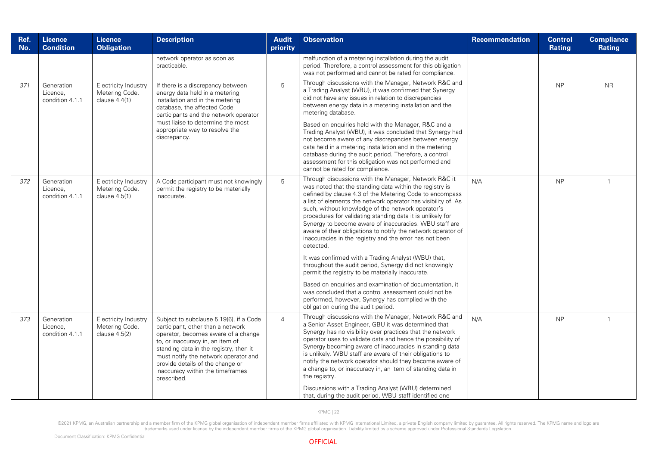| Ref.<br>No. | <b>Licence</b><br><b>Condition</b>        | <b>Licence</b><br><b>Obligation</b>                       | <b>Description</b>                                                                                                                                                                                                                                                                                                               | <b>Audit</b><br>priority | <b>Observation</b>                                                                                                                                                                                                                                                                                                                                                                                                                                                                                                                                                                                                                                                                                                                                                                                                                                                                                                                                   | Recommendation | <b>Control</b><br>Rating | <b>Compliance</b><br>Rating |
|-------------|-------------------------------------------|-----------------------------------------------------------|----------------------------------------------------------------------------------------------------------------------------------------------------------------------------------------------------------------------------------------------------------------------------------------------------------------------------------|--------------------------|------------------------------------------------------------------------------------------------------------------------------------------------------------------------------------------------------------------------------------------------------------------------------------------------------------------------------------------------------------------------------------------------------------------------------------------------------------------------------------------------------------------------------------------------------------------------------------------------------------------------------------------------------------------------------------------------------------------------------------------------------------------------------------------------------------------------------------------------------------------------------------------------------------------------------------------------------|----------------|--------------------------|-----------------------------|
|             |                                           |                                                           | network operator as soon as<br>practicable.                                                                                                                                                                                                                                                                                      |                          | malfunction of a metering installation during the audit<br>period. Therefore, a control assessment for this obligation<br>was not performed and cannot be rated for compliance.                                                                                                                                                                                                                                                                                                                                                                                                                                                                                                                                                                                                                                                                                                                                                                      |                |                          |                             |
| 371         | Generation<br>Licence,<br>condition 4.1.1 | Electricity Industry<br>Metering Code,<br>clause $4.4(1)$ | If there is a discrepancy between<br>energy data held in a metering<br>installation and in the metering<br>database, the affected Code<br>participants and the network operator<br>must liaise to determine the most<br>appropriate way to resolve the<br>discrepancy.                                                           | 5                        | Through discussions with the Manager, Network R&C and<br>a Trading Analyst (WBU), it was confirmed that Synergy<br>did not have any issues in relation to discrepancies<br>between energy data in a metering installation and the<br>metering database.<br>Based on enquiries held with the Manager, R&C and a<br>Trading Analyst (WBU), it was concluded that Synergy had<br>not become aware of any discrepancies between energy<br>data held in a metering installation and in the metering<br>database during the audit period. Therefore, a control<br>assessment for this obligation was not performed and<br>cannot be rated for compliance.                                                                                                                                                                                                                                                                                                  |                | <b>NP</b>                | <b>NR</b>                   |
| 372         | Generation<br>Licence,<br>condition 4.1.1 | Electricity Industry<br>Metering Code,<br>clause 4.5(1)   | A Code participant must not knowingly<br>permit the registry to be materially<br>inaccurate.                                                                                                                                                                                                                                     | 5                        | Through discussions with the Manager, Network R&C it<br>was noted that the standing data within the registry is<br>defined by clause 4.3 of the Metering Code to encompass<br>a list of elements the network operator has visibility of. As<br>such, without knowledge of the network operator's<br>procedures for validating standing data it is unlikely for<br>Synergy to become aware of inaccuracies. WBU staff are<br>aware of their obligations to notify the network operator of<br>inaccuracies in the registry and the error has not been<br>detected.<br>It was confirmed with a Trading Analyst (WBU) that,<br>throughout the audit period, Synergy did not knowingly<br>permit the registry to be materially inaccurate.<br>Based on enquiries and examination of documentation, it<br>was concluded that a control assessment could not be<br>performed, however, Synergy has complied with the<br>obligation during the audit period. | N/A            | <b>NP</b>                |                             |
| 373         | Generation<br>Licence,<br>condition 4.1.1 | Electricity Industry<br>Metering Code,<br>clause 4.5(2)   | Subject to subclause 5.19(6), if a Code<br>participant, other than a network<br>operator, becomes aware of a change<br>to, or inaccuracy in, an item of<br>standing data in the registry, then it<br>must notify the network operator and<br>provide details of the change or<br>inaccuracy within the timeframes<br>prescribed. | $\overline{4}$           | Through discussions with the Manager, Network R&C and<br>a Senior Asset Engineer, GBU it was determined that<br>Synergy has no visibility over practices that the network<br>operator uses to validate data and hence the possibility of<br>Synergy becoming aware of inaccuracies in standing data<br>is unlikely. WBU staff are aware of their obligations to<br>notify the network operator should they become aware of<br>a change to, or inaccuracy in, an item of standing data in<br>the registry.<br>Discussions with a Trading Analyst (WBU) determined<br>that, during the audit period, WBU staff identified one                                                                                                                                                                                                                                                                                                                          | N/A            | <b>NP</b>                |                             |

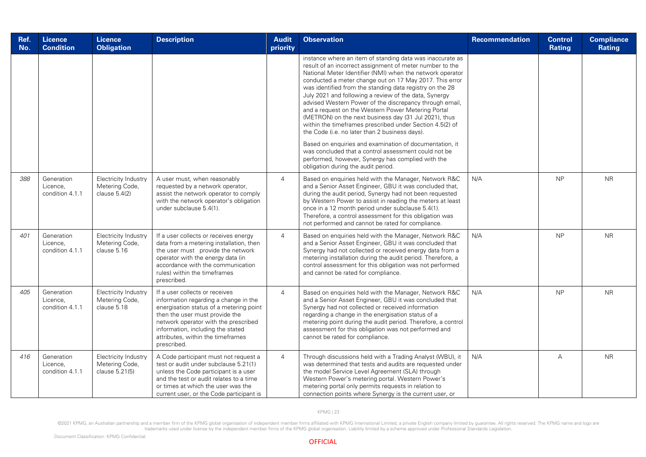| Ref.<br>No. | <b>Licence</b><br><b>Condition</b>        | <b>Licence</b><br><b>Obligation</b>                       | <b>Description</b>                                                                                                                                                                                                                                                                    | <b>Audit</b><br>priority | <b>Observation</b>                                                                                                                                                                                                                                                                                                                                                                                                                                                                                                                                                                                                                                                                                                                                                                                                                 | <b>Recommendation</b> | <b>Control</b><br>Rating | <b>Compliance</b><br>Rating |
|-------------|-------------------------------------------|-----------------------------------------------------------|---------------------------------------------------------------------------------------------------------------------------------------------------------------------------------------------------------------------------------------------------------------------------------------|--------------------------|------------------------------------------------------------------------------------------------------------------------------------------------------------------------------------------------------------------------------------------------------------------------------------------------------------------------------------------------------------------------------------------------------------------------------------------------------------------------------------------------------------------------------------------------------------------------------------------------------------------------------------------------------------------------------------------------------------------------------------------------------------------------------------------------------------------------------------|-----------------------|--------------------------|-----------------------------|
|             |                                           |                                                           |                                                                                                                                                                                                                                                                                       |                          | instance where an item of standing data was inaccurate as<br>result of an incorrect assignment of meter number to the<br>National Meter Identifier (NMI) when the network operator<br>conducted a meter change out on 17 May 2017. This error<br>was identified from the standing data registry on the 28<br>July 2021 and following a review of the data, Synergy<br>advised Western Power of the discrepancy through email,<br>and a request on the Western Power Metering Portal<br>(METRON) on the next business day (31 Jul 2021), thus<br>within the timeframes prescribed under Section 4.5(2) of<br>the Code (i.e. no later than 2 business days).<br>Based on enquiries and examination of documentation, it<br>was concluded that a control assessment could not be<br>performed, however, Synergy has complied with the |                       |                          |                             |
| 388         | Generation<br>Licence,<br>condition 4.1.1 | Electricity Industry<br>Metering Code,<br>clause $5.4(2)$ | A user must, when reasonably<br>requested by a network operator,<br>assist the network operator to comply<br>with the network operator's obligation<br>under subclause 5.4(1).                                                                                                        | $\overline{4}$           | obligation during the audit period.<br>Based on enquiries held with the Manager, Network R&C<br>and a Senior Asset Engineer, GBU it was concluded that,<br>during the audit period, Synergy had not been requested<br>by Western Power to assist in reading the meters at least<br>once in a 12 month period under subclause 5.4(1).<br>Therefore, a control assessment for this obligation was<br>not performed and cannot be rated for compliance.                                                                                                                                                                                                                                                                                                                                                                               | N/A                   | <b>NP</b>                | <b>NR</b>                   |
| 401         | Generation<br>Licence.<br>condition 4.1.1 | Electricity Industry<br>Metering Code,<br>clause 5.16     | If a user collects or receives energy<br>data from a metering installation, then<br>the user must provide the network<br>operator with the energy data (in<br>accordance with the communication<br>rules) within the timeframes<br>prescribed.                                        | $\overline{4}$           | Based on enquiries held with the Manager, Network R&C<br>and a Senior Asset Engineer, GBU it was concluded that<br>Synergy had not collected or received energy data from a<br>metering installation during the audit period. Therefore, a<br>control assessment for this obligation was not performed<br>and cannot be rated for compliance.                                                                                                                                                                                                                                                                                                                                                                                                                                                                                      | N/A                   | <b>NP</b>                | <b>NR</b>                   |
| 405         | Generation<br>Licence.<br>condition 4.1.1 | Electricity Industry<br>Metering Code,<br>clause 5.18     | If a user collects or receives<br>information regarding a change in the<br>energisation status of a metering point<br>then the user must provide the<br>network operator with the prescribed<br>information, including the stated<br>attributes, within the timeframes<br>prescribed. | $\overline{4}$           | Based on enquiries held with the Manager, Network R&C<br>and a Senior Asset Engineer, GBU it was concluded that<br>Synergy had not collected or received information<br>regarding a change in the energisation status of a<br>metering point during the audit period. Therefore, a control<br>assessment for this obligation was not performed and<br>cannot be rated for compliance.                                                                                                                                                                                                                                                                                                                                                                                                                                              | N/A                   | <b>NP</b>                | <b>NR</b>                   |
| 416         | Generation<br>Licence,<br>condition 4.1.1 | Electricity Industry<br>Metering Code,<br>clause 5.21(5)  | A Code participant must not request a<br>test or audit under subclause 5.21(1)<br>unless the Code participant is a user<br>and the test or audit relates to a time<br>or times at which the user was the<br>current user, or the Code participant is                                  | $\overline{4}$           | Through discussions held with a Trading Analyst (WBU), it<br>was determined that tests and audits are requested under<br>the model Service Level Agreement (SLA) through<br>Western Power's metering portal. Western Power's<br>metering portal only permits requests in relation to<br>connection points where Synergy is the current user, or                                                                                                                                                                                                                                                                                                                                                                                                                                                                                    | N/A                   | A                        | <b>NR</b>                   |

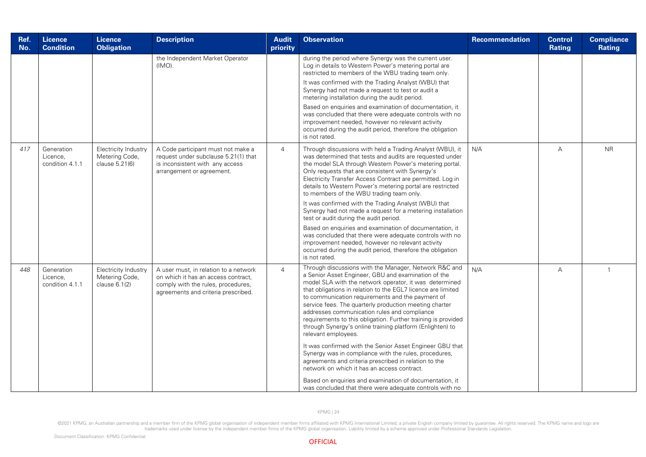| Ref.<br>No. | Licence<br><b>Condition</b>               | <b>Licence</b><br><b>Obligation</b>                       | <b>Description</b>                                                                                                                                        | <b>Audit</b><br>priority | <b>Observation</b>                                                                                                                                                                                                                                                                                                                                                                                                                                                                                                                                                                                                    | Recommendation | <b>Control</b><br>Rating | <b>Compliance</b><br><b>Rating</b> |
|-------------|-------------------------------------------|-----------------------------------------------------------|-----------------------------------------------------------------------------------------------------------------------------------------------------------|--------------------------|-----------------------------------------------------------------------------------------------------------------------------------------------------------------------------------------------------------------------------------------------------------------------------------------------------------------------------------------------------------------------------------------------------------------------------------------------------------------------------------------------------------------------------------------------------------------------------------------------------------------------|----------------|--------------------------|------------------------------------|
|             |                                           |                                                           | the Independent Market Operator<br>(IMO).                                                                                                                 |                          | during the period where Synergy was the current user.<br>Log in details to Western Power's metering portal are<br>restricted to members of the WBU trading team only.<br>It was confirmed with the Trading Analyst (WBU) that<br>Synergy had not made a request to test or audit a<br>metering installation during the audit period.                                                                                                                                                                                                                                                                                  |                |                          |                                    |
|             |                                           |                                                           |                                                                                                                                                           |                          | Based on enquiries and examination of documentation, it<br>was concluded that there were adequate controls with no<br>improvement needed, however no relevant activity<br>occurred during the audit period, therefore the obligation<br>is not rated.                                                                                                                                                                                                                                                                                                                                                                 |                |                          |                                    |
| 417         | Generation<br>Licence,<br>condition 4.1.1 | Electricity Industry<br>Metering Code,<br>clause 5.21(6)  | A Code participant must not make a<br>request under subclause 5.21(1) that<br>is inconsistent with any access<br>arrangement or agreement.                | $\overline{4}$           | Through discussions with held a Trading Analyst (WBU), it<br>was determined that tests and audits are requested under<br>the model SLA through Western Power's metering portal.<br>Only requests that are consistent with Synergy's<br>Electricity Transfer Access Contract are permitted. Log in<br>details to Western Power's metering portal are restricted<br>to members of the WBU trading team only.                                                                                                                                                                                                            | N/A            | $\overline{A}$           | <b>NR</b>                          |
|             |                                           |                                                           |                                                                                                                                                           |                          | It was confirmed with the Trading Analyst (WBU) that<br>Synergy had not made a request for a metering installation<br>test or audit during the audit period.                                                                                                                                                                                                                                                                                                                                                                                                                                                          |                |                          |                                    |
|             |                                           |                                                           |                                                                                                                                                           |                          | Based on enquiries and examination of documentation, it<br>was concluded that there were adequate controls with no<br>improvement needed, however no relevant activity<br>occurred during the audit period, therefore the obligation<br>is not rated.                                                                                                                                                                                                                                                                                                                                                                 |                |                          |                                    |
| 448         | Generation<br>Licence,<br>condition 4.1.1 | Electricity Industry<br>Metering Code,<br>clause $6.1(2)$ | A user must, in relation to a network<br>on which it has an access contract.<br>comply with the rules, procedures,<br>agreements and criteria prescribed. | $\overline{4}$           | Through discussions with the Manager, Network R&C and<br>a Senior Asset Engineer, GBU and examination of the<br>model SLA with the network operator, it was determined<br>that obligations in relation to the EGL7 licence are limited<br>to communication requirements and the payment of<br>service fees. The quarterly production meeting charter<br>addresses communication rules and compliance<br>requirements to this obligation. Further training is provided<br>through Synergy's online training platform (Enlighten) to<br>relevant employees.<br>It was confirmed with the Senior Asset Engineer GBU that | N/A            | А                        | $\overline{1}$                     |
|             |                                           |                                                           |                                                                                                                                                           |                          | Synergy was in compliance with the rules, procedures,<br>agreements and criteria prescribed in relation to the<br>network on which it has an access contract.                                                                                                                                                                                                                                                                                                                                                                                                                                                         |                |                          |                                    |
|             |                                           |                                                           |                                                                                                                                                           |                          | Based on enquiries and examination of documentation, it<br>was concluded that there were adequate controls with no                                                                                                                                                                                                                                                                                                                                                                                                                                                                                                    |                |                          |                                    |

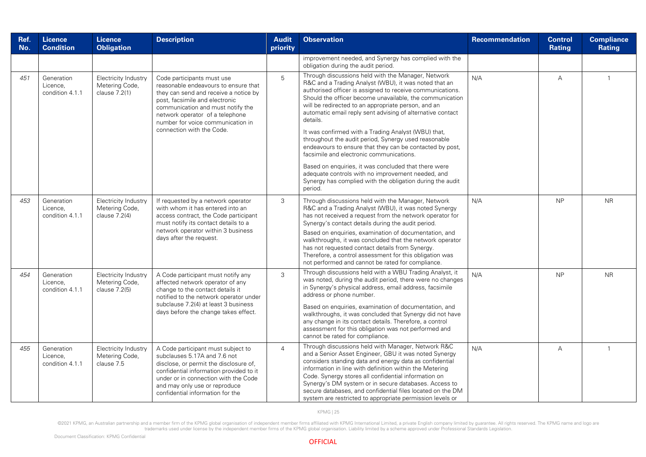| Ref.<br>No. | <b>Licence</b><br><b>Condition</b>        | <b>Licence</b><br><b>Obligation</b>                     | <b>Description</b>                                                                                                                                                                                                                                                                      | <b>Audit</b><br>priority | <b>Observation</b>                                                                                                                                                                                                                                                                                                                                                                                                                                                                                                                                                                                                                                                                                                                                                                | <b>Recommendation</b> | <b>Control</b><br><b>Rating</b> | <b>Compliance</b><br>Rating |
|-------------|-------------------------------------------|---------------------------------------------------------|-----------------------------------------------------------------------------------------------------------------------------------------------------------------------------------------------------------------------------------------------------------------------------------------|--------------------------|-----------------------------------------------------------------------------------------------------------------------------------------------------------------------------------------------------------------------------------------------------------------------------------------------------------------------------------------------------------------------------------------------------------------------------------------------------------------------------------------------------------------------------------------------------------------------------------------------------------------------------------------------------------------------------------------------------------------------------------------------------------------------------------|-----------------------|---------------------------------|-----------------------------|
|             |                                           |                                                         |                                                                                                                                                                                                                                                                                         |                          | improvement needed, and Synergy has complied with the<br>obligation during the audit period.                                                                                                                                                                                                                                                                                                                                                                                                                                                                                                                                                                                                                                                                                      |                       |                                 |                             |
| 451         | Generation<br>Licence.<br>condition 4.1.1 | Electricity Industry<br>Metering Code,<br>clause 7.2(1) | Code participants must use<br>reasonable endeavours to ensure that<br>they can send and receive a notice by<br>post, facsimile and electronic<br>communication and must notify the<br>network operator of a telephone<br>number for voice communication in<br>connection with the Code. | 5                        | Through discussions held with the Manager, Network<br>R&C and a Trading Analyst (WBU), it was noted that an<br>authorised officer is assigned to receive communications.<br>Should the officer become unavailable, the communication<br>will be redirected to an appropriate person, and an<br>automatic email reply sent advising of alternative contact<br>details.<br>It was confirmed with a Trading Analyst (WBU) that,<br>throughout the audit period, Synergy used reasonable<br>endeavours to ensure that they can be contacted by post,<br>facsimile and electronic communications.<br>Based on enguiries, it was concluded that there were<br>adequate controls with no improvement needed, and<br>Synergy has complied with the obligation during the audit<br>period. | N/A                   | A                               |                             |
| 453         | Generation<br>Licence,<br>condition 4.1.1 | Electricity Industry<br>Metering Code,<br>clause 7.2(4) | If requested by a network operator<br>with whom it has entered into an<br>access contract, the Code participant<br>must notify its contact details to a<br>network operator within 3 business<br>days after the request.                                                                | 3                        | Through discussions held with the Manager, Network<br>R&C and a Trading Analyst (WBU), it was noted Synergy<br>has not received a request from the network operator for<br>Synergy's contact details during the audit period.<br>Based on enquiries, examination of documentation, and<br>walkthroughs, it was concluded that the network operator<br>has not requested contact details from Synergy.<br>Therefore, a control assessment for this obligation was<br>not performed and cannot be rated for compliance.                                                                                                                                                                                                                                                             | N/A                   | <b>NP</b>                       | <b>NR</b>                   |
| 454         | Generation<br>Licence.<br>condition 4.1.1 | Electricity Industry<br>Metering Code,<br>clause 7.2(5) | A Code participant must notify any<br>affected network operator of any<br>change to the contact details it<br>notified to the network operator under<br>subclause 7.2(4) at least 3 business<br>days before the change takes effect.                                                    | 3                        | Through discussions held with a WBU Trading Analyst, it<br>was noted, during the audit period, there were no changes<br>in Synergy's physical address, email address, facsimile<br>address or phone number.<br>Based on enquiries, examination of documentation, and<br>walkthroughs, it was concluded that Synergy did not have<br>any change in its contact details. Therefore, a control<br>assessment for this obligation was not performed and<br>cannot be rated for compliance.                                                                                                                                                                                                                                                                                            | N/A                   | <b>NP</b>                       | <b>NR</b>                   |
| 455         | Generation<br>Licence.<br>condition 4.1.1 | Electricity Industry<br>Metering Code,<br>clause 7.5    | A Code participant must subject to<br>subclauses 5.17A and 7.6 not<br>disclose, or permit the disclosure of,<br>confidential information provided to it<br>under or in connection with the Code<br>and may only use or reproduce<br>confidential information for the                    | $\overline{4}$           | Through discussions held with Manager, Network R&C<br>and a Senior Asset Engineer, GBU it was noted Synergy<br>considers standing data and energy data as confidential<br>information in line with definition within the Metering<br>Code. Synergy stores all confidential information on<br>Synergy's DM system or in secure databases. Access to<br>secure databases, and confidential files located on the DM<br>system are restricted to appropriate permission levels or                                                                                                                                                                                                                                                                                                     | N/A                   | А                               |                             |

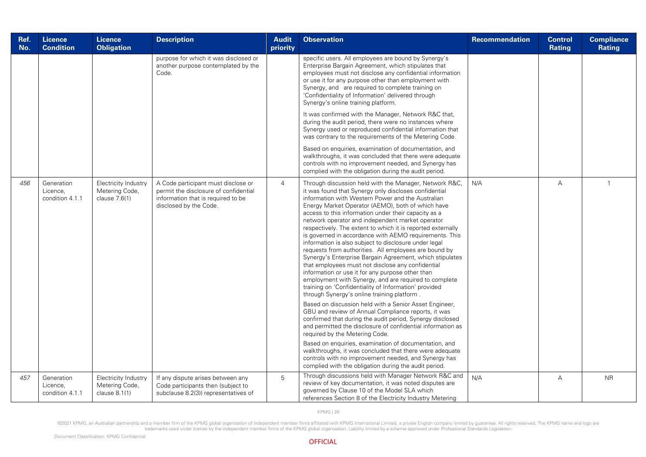| Ref.<br>No. | <b>Licence</b><br><b>Condition</b>        | <b>Licence</b><br><b>Obligation</b>                     | <b>Description</b>                                                                                                                           | <b>Audit</b><br>priority | <b>Observation</b>                                                                                                                                                                                                                                                                                                                                                                                                                                                                                                                                                                                                                                                                                                                                                                                                                                                                                                                                                                                                                                                                                                                                                                                                                                                                                                                                                                                                                         | <b>Recommendation</b> | <b>Control</b><br>Rating | <b>Compliance</b><br><b>Rating</b> |
|-------------|-------------------------------------------|---------------------------------------------------------|----------------------------------------------------------------------------------------------------------------------------------------------|--------------------------|--------------------------------------------------------------------------------------------------------------------------------------------------------------------------------------------------------------------------------------------------------------------------------------------------------------------------------------------------------------------------------------------------------------------------------------------------------------------------------------------------------------------------------------------------------------------------------------------------------------------------------------------------------------------------------------------------------------------------------------------------------------------------------------------------------------------------------------------------------------------------------------------------------------------------------------------------------------------------------------------------------------------------------------------------------------------------------------------------------------------------------------------------------------------------------------------------------------------------------------------------------------------------------------------------------------------------------------------------------------------------------------------------------------------------------------------|-----------------------|--------------------------|------------------------------------|
|             |                                           |                                                         | purpose for which it was disclosed or<br>another purpose contemplated by the<br>Code.                                                        |                          | specific users. All employees are bound by Synergy's<br>Enterprise Bargain Agreement, which stipulates that<br>employees must not disclose any confidential information<br>or use it for any purpose other than employment with<br>Synergy, and are required to complete training on<br>'Confidentiality of Information' delivered through<br>Synergy's online training platform.                                                                                                                                                                                                                                                                                                                                                                                                                                                                                                                                                                                                                                                                                                                                                                                                                                                                                                                                                                                                                                                          |                       |                          |                                    |
|             |                                           |                                                         |                                                                                                                                              |                          | It was confirmed with the Manager, Network R&C that,<br>during the audit period, there were no instances where<br>Synergy used or reproduced confidential information that<br>was contrary to the requirements of the Metering Code.                                                                                                                                                                                                                                                                                                                                                                                                                                                                                                                                                                                                                                                                                                                                                                                                                                                                                                                                                                                                                                                                                                                                                                                                       |                       |                          |                                    |
|             |                                           |                                                         |                                                                                                                                              |                          | Based on enquiries, examination of documentation, and<br>walkthroughs, it was concluded that there were adequate<br>controls with no improvement needed, and Synergy has<br>complied with the obligation during the audit period.                                                                                                                                                                                                                                                                                                                                                                                                                                                                                                                                                                                                                                                                                                                                                                                                                                                                                                                                                                                                                                                                                                                                                                                                          |                       |                          |                                    |
| 456         | Generation<br>Licence,<br>condition 4.1.1 | Electricity Industry<br>Metering Code,<br>clause 7.6(1) | A Code participant must disclose or<br>permit the disclosure of confidential<br>information that is required to be<br>disclosed by the Code. | $\overline{4}$           | Through discussion held with the Manager, Network R&C,<br>it was found that Synergy only discloses confidential<br>information with Western Power and the Australian<br>Energy Market Operator (AEMO), both of which have<br>access to this information under their capacity as a<br>network operator and independent market operator<br>respectively. The extent to which it is reported externally<br>is governed in accordance with AEMO requirements. This<br>information is also subject to disclosure under legal<br>requests from authorities. All employees are bound by<br>Synergy's Enterprise Bargain Agreement, which stipulates<br>that employees must not disclose any confidential<br>information or use it for any purpose other than<br>employment with Synergy, and are required to complete<br>training on 'Confidentiality of Information' provided<br>through Synergy's online training platform.<br>Based on discussion held with a Senior Asset Engineer,<br>GBU and review of Annual Compliance reports, it was<br>confirmed that during the audit period, Synergy disclosed<br>and permitted the disclosure of confidential information as<br>required by the Metering Code.<br>Based on enquiries, examination of documentation, and<br>walkthroughs, it was concluded that there were adequate<br>controls with no improvement needed, and Synergy has<br>complied with the obligation during the audit period. | N/A                   | $\overline{A}$           | $\mathbf{1}$                       |
| 457         | Generation<br>Licence.<br>condition 4.1.1 | Electricity Industry<br>Metering Code,<br>clause 8.1(1) | If any dispute arises between any<br>Code participants then (subject to<br>subclause 8.2(3)) representatives of                              | 5                        | Through discussions held with Manager Network R&C and<br>review of key documentation, it was noted disputes are<br>governed by Clause 10 of the Model SLA which<br>references Section 8 of the Electricity Industry Metering                                                                                                                                                                                                                                                                                                                                                                                                                                                                                                                                                                                                                                                                                                                                                                                                                                                                                                                                                                                                                                                                                                                                                                                                               | N/A                   | A                        | <b>NR</b>                          |

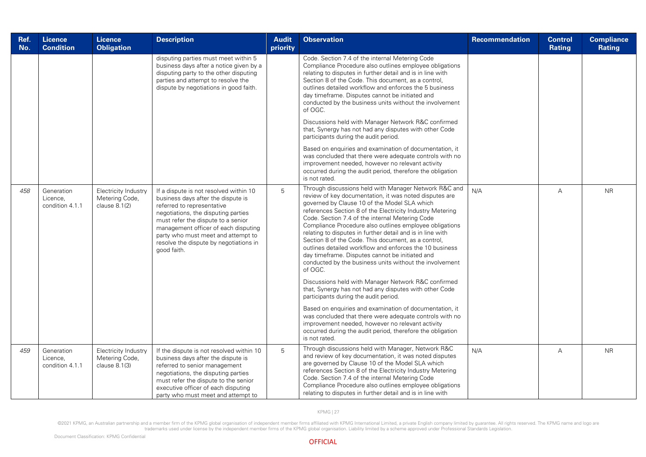| Ref.<br>No. | <b>Licence</b><br><b>Condition</b>        | <b>Licence</b><br><b>Obligation</b>                     | <b>Description</b>                                                                                                                                                                                                                                                                                                             | <b>Audit</b><br>priority | <b>Observation</b>                                                                                                                                                                                                                                                                                                                                                                                                                                                                                                                                                                                                                                                                                                                                                                                                                                                                                                                                                                                                                                                     | Recommendation | <b>Control</b><br>Rating | <b>Compliance</b><br><b>Rating</b> |
|-------------|-------------------------------------------|---------------------------------------------------------|--------------------------------------------------------------------------------------------------------------------------------------------------------------------------------------------------------------------------------------------------------------------------------------------------------------------------------|--------------------------|------------------------------------------------------------------------------------------------------------------------------------------------------------------------------------------------------------------------------------------------------------------------------------------------------------------------------------------------------------------------------------------------------------------------------------------------------------------------------------------------------------------------------------------------------------------------------------------------------------------------------------------------------------------------------------------------------------------------------------------------------------------------------------------------------------------------------------------------------------------------------------------------------------------------------------------------------------------------------------------------------------------------------------------------------------------------|----------------|--------------------------|------------------------------------|
|             |                                           |                                                         | disputing parties must meet within 5<br>business days after a notice given by a<br>disputing party to the other disputing<br>parties and attempt to resolve the<br>dispute by negotiations in good faith.                                                                                                                      |                          | Code. Section 7.4 of the internal Metering Code<br>Compliance Procedure also outlines employee obligations<br>relating to disputes in further detail and is in line with<br>Section 8 of the Code. This document, as a control,<br>outlines detailed workflow and enforces the 5 business<br>day timeframe. Disputes cannot be initiated and<br>conducted by the business units without the involvement<br>of OGC.<br>Discussions held with Manager Network R&C confirmed<br>that, Synergy has not had any disputes with other Code<br>participants during the audit period.<br>Based on enquiries and examination of documentation, it<br>was concluded that there were adequate controls with no<br>improvement needed, however no relevant activity<br>occurred during the audit period, therefore the obligation<br>is not rated.                                                                                                                                                                                                                                  |                |                          |                                    |
| 458         | Generation<br>Licence,<br>condition 4.1.1 | Electricity Industry<br>Metering Code,<br>clause 8.1(2) | If a dispute is not resolved within 10<br>business days after the dispute is<br>referred to representative<br>negotiations, the disputing parties<br>must refer the dispute to a senior<br>management officer of each disputing<br>party who must meet and attempt to<br>resolve the dispute by negotiations in<br>good faith. | 5                        | Through discussions held with Manager Network R&C and<br>review of key documentation, it was noted disputes are<br>governed by Clause 10 of the Model SLA which<br>references Section 8 of the Electricity Industry Metering<br>Code. Section 7.4 of the internal Metering Code<br>Compliance Procedure also outlines employee obligations<br>relating to disputes in further detail and is in line with<br>Section 8 of the Code. This document, as a control,<br>outlines detailed workflow and enforces the 10 business<br>day timeframe. Disputes cannot be initiated and<br>conducted by the business units without the involvement<br>of OGC.<br>Discussions held with Manager Network R&C confirmed<br>that, Synergy has not had any disputes with other Code<br>participants during the audit period.<br>Based on enquiries and examination of documentation, it<br>was concluded that there were adequate controls with no<br>improvement needed, however no relevant activity<br>occurred during the audit period, therefore the obligation<br>is not rated. | N/A            | $\overline{A}$           | <b>NR</b>                          |
| 459         | Generation<br>Licence,<br>condition 4.1.1 | Electricity Industry<br>Metering Code,<br>clause 8.1(3) | If the dispute is not resolved within 10<br>business days after the dispute is<br>referred to senior management<br>negotiations, the disputing parties<br>must refer the dispute to the senior<br>executive officer of each disputing<br>party who must meet and attempt to                                                    | 5                        | Through discussions held with Manager, Network R&C<br>and review of key documentation, it was noted disputes<br>are governed by Clause 10 of the Model SLA which<br>references Section 8 of the Electricity Industry Metering<br>Code. Section 7.4 of the internal Metering Code<br>Compliance Procedure also outlines employee obligations<br>relating to disputes in further detail and is in line with                                                                                                                                                                                                                                                                                                                                                                                                                                                                                                                                                                                                                                                              | N/A            | $\overline{A}$           | <b>NR</b>                          |

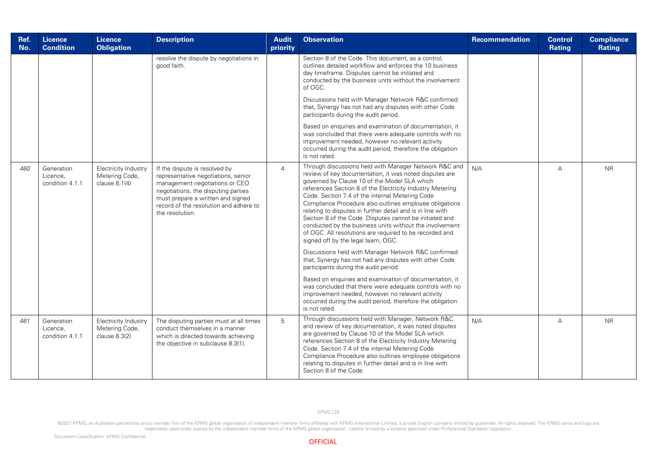| Ref.<br>No. | <b>Licence</b><br><b>Condition</b>        | <b>Licence</b><br><b>Obligation</b>                       | <b>Description</b>                                                                                                                                                                                                                              | <b>Audit</b><br>priority | <b>Observation</b>                                                                                                                                                                                                                                                                                                                                                                                                                                                                                                                                                                                                                                                                                                                                                                                                                                                                                                                                                                                                                                 | <b>Recommendation</b> | <b>Control</b><br>Rating | <b>Compliance</b><br><b>Rating</b> |
|-------------|-------------------------------------------|-----------------------------------------------------------|-------------------------------------------------------------------------------------------------------------------------------------------------------------------------------------------------------------------------------------------------|--------------------------|----------------------------------------------------------------------------------------------------------------------------------------------------------------------------------------------------------------------------------------------------------------------------------------------------------------------------------------------------------------------------------------------------------------------------------------------------------------------------------------------------------------------------------------------------------------------------------------------------------------------------------------------------------------------------------------------------------------------------------------------------------------------------------------------------------------------------------------------------------------------------------------------------------------------------------------------------------------------------------------------------------------------------------------------------|-----------------------|--------------------------|------------------------------------|
|             |                                           |                                                           | resolve the dispute by negotiations in<br>good faith.                                                                                                                                                                                           |                          | Section 8 of the Code. This document, as a control,<br>outlines detailed workflow and enforces the 10 business<br>day timeframe. Disputes cannot be initiated and<br>conducted by the business units without the involvement<br>of OGC.<br>Discussions held with Manager Network R&C confirmed<br>that, Synergy has not had any disputes with other Code<br>participants during the audit period.<br>Based on enquiries and examination of documentation, it<br>was concluded that there were adequate controls with no<br>improvement needed, however no relevant activity<br>occurred during the audit period, therefore the obligation<br>is not rated.                                                                                                                                                                                                                                                                                                                                                                                         |                       |                          |                                    |
| 460         | Generation<br>Licence,<br>condition 4.1.1 | Electricity Industry<br>Metering Code,<br>clause $8.1(4)$ | If the dispute is resolved by<br>representative negotiations, senior<br>management negotiations or CEO<br>negotiations, the disputing parties<br>must prepare a written and signed<br>record of the resolution and adhere to<br>the resolution. | $\overline{4}$           | Through discussions held with Manager Network R&C and<br>review of key documentation, it was noted disputes are<br>governed by Clause 10 of the Model SLA which<br>references Section 8 of the Electricity Industry Metering<br>Code. Section 7.4 of the internal Metering Code<br>Compliance Procedure also outlines employee obligations<br>relating to disputes in further detail and is in line with<br>Section 8 of the Code. Disputes cannot be initiated and<br>conducted by the business units without the involvement<br>of OGC. All resolutions are required to be recorded and<br>signed off by the legal team, OGC.<br>Discussions held with Manager Network R&C confirmed<br>that, Synergy has not had any disputes with other Code<br>participants during the audit period.<br>Based on enquiries and examination of documentation, it<br>was concluded that there were adequate controls with no<br>improvement needed, however no relevant activity<br>occurred during the audit period, therefore the obligation<br>is not rated. | N/A                   | А                        | <b>NR</b>                          |
| 461         | Generation<br>Licence,<br>condition 4.1.1 | Electricity Industry<br>Metering Code,<br>clause $8.3(2)$ | The disputing parties must at all times<br>conduct themselves in a manner<br>which is directed towards achieving<br>the objective in subclause 8.3(1).                                                                                          | 5                        | Through discussions held with Manager, Network R&C<br>and review of key documentation, it was noted disputes<br>are governed by Clause 10 of the Model SLA which<br>references Section 8 of the Electricity Industry Metering<br>Code. Section 7.4 of the internal Metering Code<br>Compliance Procedure also outlines employee obligations<br>relating to disputes in further detail and is in line with<br>Section 8 of the Code.                                                                                                                                                                                                                                                                                                                                                                                                                                                                                                                                                                                                                | N/A                   | $\overline{A}$           | <b>NR</b>                          |

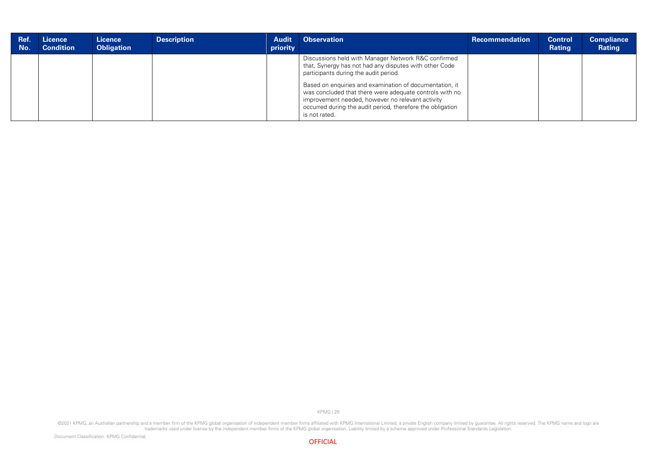| Ref.<br>No. | / Licence<br><b>Condition</b> | Licence<br><b>Obligation</b> | <b>Description</b> | <b>Audit</b><br>priority | <b>Observation</b>                                                                                                                                                                                                                                                                                                                                                                                              | Recommendation | <b>Control</b><br>Rating | <b>Compliance</b><br>Rating |
|-------------|-------------------------------|------------------------------|--------------------|--------------------------|-----------------------------------------------------------------------------------------------------------------------------------------------------------------------------------------------------------------------------------------------------------------------------------------------------------------------------------------------------------------------------------------------------------------|----------------|--------------------------|-----------------------------|
|             |                               |                              |                    |                          | Discussions held with Manager Network R&C confirmed<br>that, Synergy has not had any disputes with other Code<br>participants during the audit period.<br>Based on enquiries and examination of documentation, it<br>was concluded that there were adequate controls with no<br>improvement needed, however no relevant activity<br>occurred during the audit period, therefore the obligation<br>is not rated. |                |                          |                             |

©2021 KPMG, an Australian partnership and a member firm of the KPMG global organisation of independent member firms affiliated with KPMG International Limited, a private English company limited by guarantee. All rights res



KPMG | 29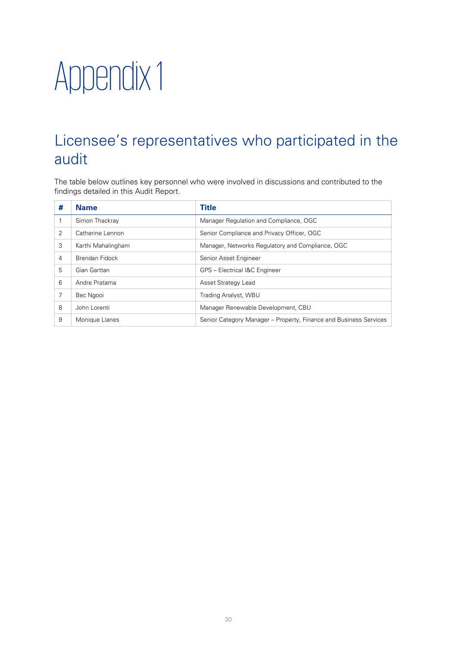## <span id="page-33-0"></span>Appendix 1

### <span id="page-33-1"></span>Licensee's representatives who participated in the audit

The table below outlines key personnel who were involved in discussions and contributed to the findings detailed in this Audit Report.

| # | <b>Name</b>        | Title                                                             |
|---|--------------------|-------------------------------------------------------------------|
|   | Simon Thackray     | Manager Regulation and Compliance, OGC                            |
| 2 | Catherine Lennon   | Senior Compliance and Privacy Officer, OGC                        |
| 3 | Karthi Mahalingham | Manager, Networks Regulatory and Compliance, OGC                  |
| 4 | Brendan Fidock     | Senior Asset Engineer                                             |
| 5 | Gian Garttan       | GPS - Electrical I&C Engineer                                     |
| 6 | Andre Pratama      | Asset Strategy Lead                                               |
| 7 | Bec Ngooi          | Trading Analyst, WBU                                              |
| 8 | John Lorenti       | Manager Renewable Development, CBU                                |
| 9 | Monique Llanes     | Senior Category Manager – Property, Finance and Business Services |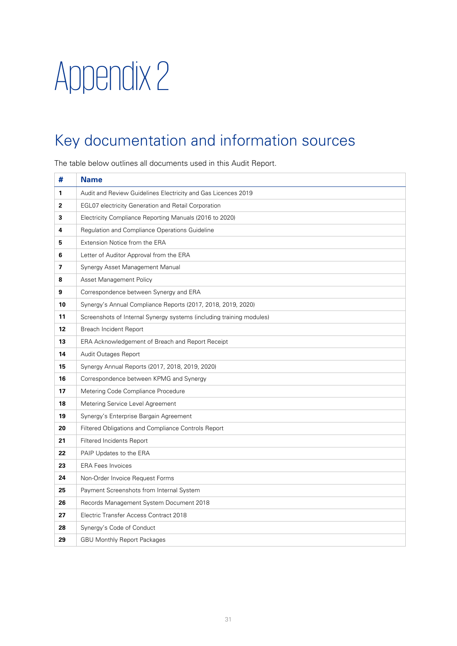## <span id="page-34-0"></span>Appendix 2

### <span id="page-34-1"></span>Key documentation and information sources

The table below outlines all documents used in this Audit Report.

| #              | <b>Name</b>                                                          |
|----------------|----------------------------------------------------------------------|
| 1              | Audit and Review Guidelines Electricity and Gas Licences 2019        |
| $\overline{2}$ | <b>EGL07 electricity Generation and Retail Corporation</b>           |
| 3              | Electricity Compliance Reporting Manuals (2016 to 2020)              |
| 4              | Regulation and Compliance Operations Guideline                       |
| 5              | Extension Notice from the ERA                                        |
| 6              | Letter of Auditor Approval from the ERA                              |
| 7              | Synergy Asset Management Manual                                      |
| 8              | Asset Management Policy                                              |
| 9              | Correspondence between Synergy and ERA                               |
| 10             | Synergy's Annual Compliance Reports (2017, 2018, 2019, 2020)         |
| 11             | Screenshots of Internal Synergy systems (including training modules) |
| 12             | Breach Incident Report                                               |
| 13             | ERA Acknowledgement of Breach and Report Receipt                     |
| 14             | Audit Outages Report                                                 |
| 15             | Synergy Annual Reports (2017, 2018, 2019, 2020)                      |
| 16             | Correspondence between KPMG and Synergy                              |
| 17             | Metering Code Compliance Procedure                                   |
| 18             | Metering Service Level Agreement                                     |
| 19             | Synergy's Enterprise Bargain Agreement                               |
| 20             | Filtered Obligations and Compliance Controls Report                  |
| 21             | <b>Filtered Incidents Report</b>                                     |
| 22             | PAIP Updates to the ERA                                              |
| 23             | <b>ERA Fees Invoices</b>                                             |
| 24             | Non-Order Invoice Request Forms                                      |
| 25             | Payment Screenshots from Internal System                             |
| 26             | Records Management System Document 2018                              |
| 27             | Electric Transfer Access Contract 2018                               |
| 28             | Synergy's Code of Conduct                                            |
| 29             | <b>GBU Monthly Report Packages</b>                                   |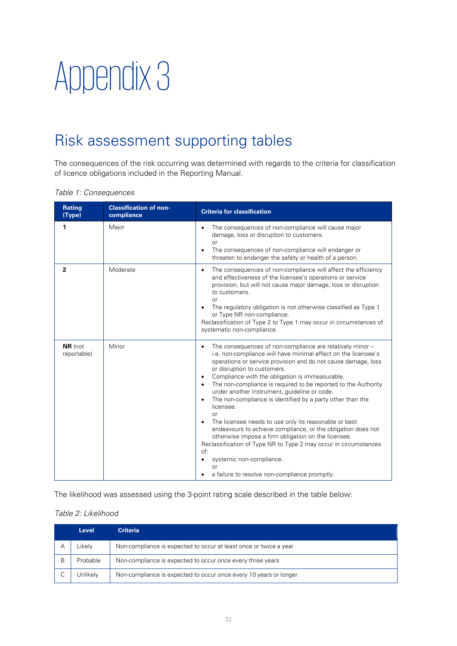## <span id="page-35-0"></span>Appendix 3

### <span id="page-35-1"></span>Risk assessment supporting tables

The consequences of the risk occurring was determined with regards to the criteria for classification of licence obligations included in the Reporting Manual.

|  | Table 1: Consequences |
|--|-----------------------|
|  |                       |

| <b>Rating</b><br>(Type) | <b>Classification of non-</b><br>compliance | <b>Criteria for classification</b>                                                                                                                                                                                                                                                                                                                                                                                                                                                                                                                                                                                                                                                                                                                                                                                                           |
|-------------------------|---------------------------------------------|----------------------------------------------------------------------------------------------------------------------------------------------------------------------------------------------------------------------------------------------------------------------------------------------------------------------------------------------------------------------------------------------------------------------------------------------------------------------------------------------------------------------------------------------------------------------------------------------------------------------------------------------------------------------------------------------------------------------------------------------------------------------------------------------------------------------------------------------|
| 1                       | Major                                       | The consequences of non-compliance will cause major<br>$\bullet$<br>damage, loss or disruption to customers.<br>or<br>The consequences of non-compliance will endanger or<br>threaten to endanger the safety or health of a person.                                                                                                                                                                                                                                                                                                                                                                                                                                                                                                                                                                                                          |
| $\overline{2}$          | Moderate                                    | The consequences of non-compliance will affect the efficiency<br>$\bullet$<br>and effectiveness of the licensee's operations or service<br>provision, but will not cause major damage, loss or disruption<br>to customers.<br>or<br>The regulatory obligation is not otherwise classified as Type 1<br>or Type NR non-compliance.<br>Reclassification of Type 2 to Type 1 may occur in circumstances of<br>systematic non-compliance.                                                                                                                                                                                                                                                                                                                                                                                                        |
| NR (not<br>reportable)  | Minor                                       | The consequences of non-compliance are relatively minor -<br>$\bullet$<br>i.e. non-compliance will have minimal effect on the licensee's<br>operations or service provision and do not cause damage, loss<br>or disruption to customers.<br>Compliance with the obligation is immeasurable.<br>The non-compliance is required to be reported to the Authority<br>under another instrument, guideline or code.<br>The non-compliance is identified by a party other than the<br>licensee.<br>or<br>The licensee needs to use only its reasonable or best<br>endeavours to achieve compliance, or the obligation does not<br>otherwise impose a firm obligation on the licensee.<br>Reclassification of Type NR to Type 2 may occur in circumstances<br>of:<br>systemic non-compliance.<br>or<br>a failure to resolve non-compliance promptly. |

The likelihood was assessed using the 3-point rating scale described in the table below:

#### Table 2: Likelihood

| <b>Level</b> | <b>Criteria</b>                                                   |
|--------------|-------------------------------------------------------------------|
| Likely       | Non-compliance is expected to occur at least once or twice a year |
| Probable     | Non-compliance is expected to occur once every three years        |
| Unlikelv     | Non-compliance is expected to occur once every 10 years or longer |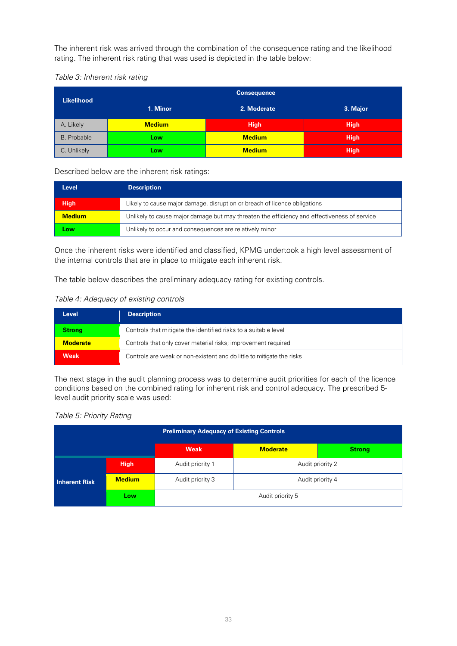The inherent risk was arrived through the combination of the consequence rating and the likelihood rating. The inherent risk rating that was used is depicted in the table below:

#### Table 3: Inherent risk rating

| <b>Likelihood</b> |               | <b>Consequence</b> |             |
|-------------------|---------------|--------------------|-------------|
|                   | 1. Minor      | 2. Moderate        | 3. Major    |
| A. Likely         | <b>Medium</b> | <b>High</b>        | <b>High</b> |
| B. Probable       | Low           | <b>Medium</b>      | <b>High</b> |
| C. Unlikely       | Low           | <b>Medium</b>      | <b>High</b> |

#### Described below are the inherent risk ratings:

| Level         | <b>Description</b>                                                                          |  |
|---------------|---------------------------------------------------------------------------------------------|--|
| <b>High</b>   | Likely to cause major damage, disruption or breach of licence obligations                   |  |
| <b>Medium</b> | Unlikely to cause major damage but may threaten the efficiency and effectiveness of service |  |
| Low           | Unlikely to occur and consequences are relatively minor                                     |  |

Once the inherent risks were identified and classified, KPMG undertook a high level assessment of the internal controls that are in place to mitigate each inherent risk.

The table below describes the preliminary adequacy rating for existing controls.

#### Table 4: Adequacy of existing controls

| <b>Level</b>    | <b>Description</b>                                                    |  |
|-----------------|-----------------------------------------------------------------------|--|
| <b>Strong</b>   | Controls that mitigate the identified risks to a suitable level       |  |
| <b>Moderate</b> | Controls that only cover material risks; improvement required         |  |
| Weak            | Controls are weak or non-existent and do little to mitigate the risks |  |

The next stage in the audit planning process was to determine audit priorities for each of the licence conditions based on the combined rating for inherent risk and control adequacy. The prescribed 5 level audit priority scale was used:

#### Table 5: Priority Rating

| <b>Preliminary Adequacy of Existing Controls</b> |               |                  |                  |               |  |  |
|--------------------------------------------------|---------------|------------------|------------------|---------------|--|--|
|                                                  |               | Weak             | <b>Moderate</b>  | <b>Strong</b> |  |  |
| <b>Inherent Risk</b>                             | <b>High</b>   | Audit priority 1 | Audit priority 2 |               |  |  |
|                                                  | <b>Medium</b> | Audit priority 3 | Audit priority 4 |               |  |  |
|                                                  | Low           | Audit priority 5 |                  |               |  |  |